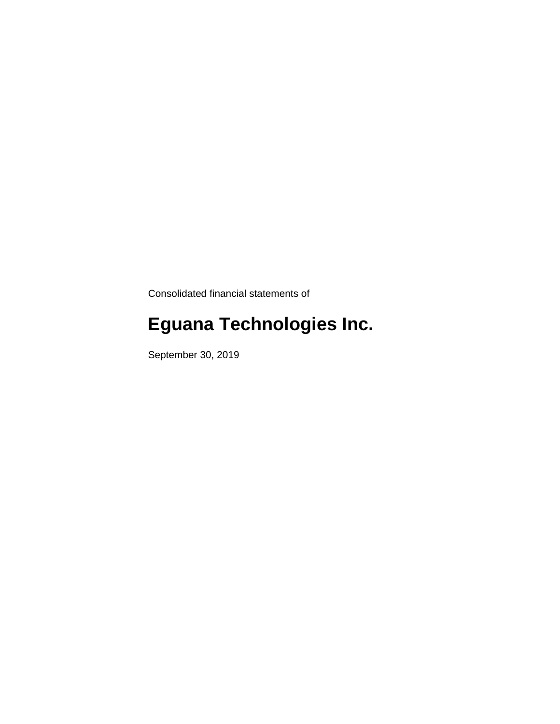Consolidated financial statements of

# **Eguana Technologies Inc.**

September 30, 2019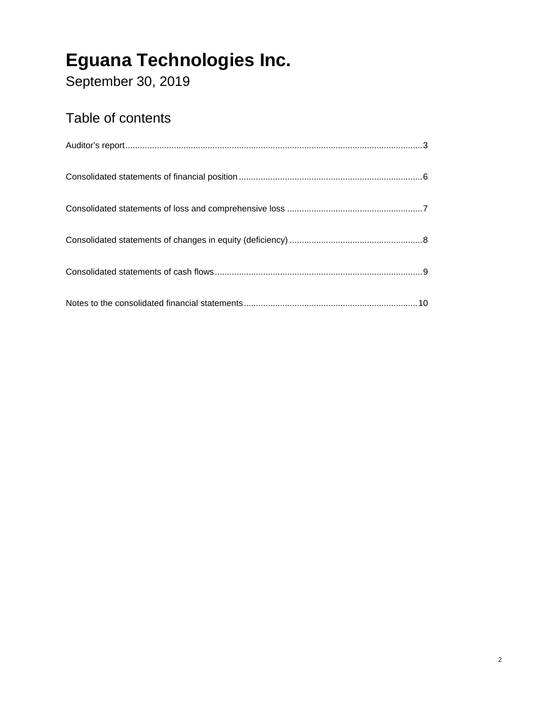September 30, 2019

# Table of contents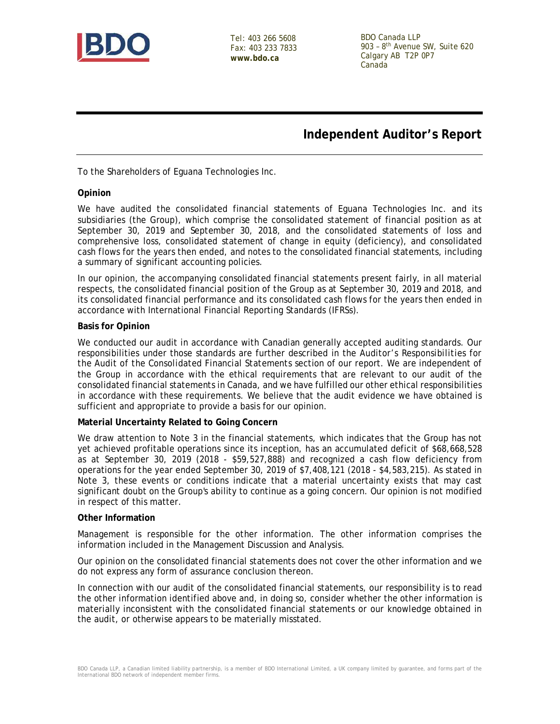

Tel: 403 266 5608 Fax: 403 233 7833 **www.bdo.ca**

BDO Canada LLP 903 – 8th Avenue SW, Suite 620 Calgary AB T2P 0P7 Canada

## **Independent Auditor's Report**

To the Shareholders of Eguana Technologies Inc.

#### **Opinion**

We have audited the consolidated financial statements of Eguana Technologies Inc. and its subsidiaries (the Group), which comprise the consolidated statement of financial position as at September 30, 2019 and September 30, 2018, and the consolidated statements of loss and comprehensive loss, consolidated statement of change in equity (deficiency), and consolidated cash flows for the years then ended, and notes to the consolidated financial statements, including a summary of significant accounting policies.

In our opinion, the accompanying consolidated financial statements present fairly, in all material respects, the consolidated financial position of the Group as at September 30, 2019 and 2018, and its consolidated financial performance and its consolidated cash flows for the years then ended in accordance with International Financial Reporting Standards (IFRSs).

#### **Basis for Opinion**

We conducted our audit in accordance with Canadian generally accepted auditing standards. Our responsibilities under those standards are further described in the *Auditor's Responsibilities for the Audit of the Consolidated Financial Statements* section of our report. We are independent of the Group in accordance with the ethical requirements that are relevant to our audit of the consolidated financial statements in Canada, and we have fulfilled our other ethical responsibilities in accordance with these requirements. We believe that the audit evidence we have obtained is sufficient and appropriate to provide a basis for our opinion.

**Material Uncertainty Related to Going Concern**

We draw attention to Note 3 in the financial statements, which indicates that the Group has not yet achieved profitable operations since its inception, has an accumulated deficit of \$68,668,528 as at September 30, 2019 (2018 - \$59,527,888) and recognized a cash flow deficiency from operations for the year ended September 30, 2019 of \$7,408,121 (2018 - \$4,583,215). As stated in Note 3, these events or conditions indicate that a material uncertainty exists that may cast significant doubt on the Group's ability to continue as a going concern. Our opinion is not modified in respect of this matter.

#### **Other Information**

Management is responsible for the other information. The other information comprises the information included in the Management Discussion and Analysis.

Our opinion on the consolidated financial statements does not cover the other information and we do not express any form of assurance conclusion thereon.

In connection with our audit of the consolidated financial statements, our responsibility is to read the other information identified above and, in doing so, consider whether the other information is materially inconsistent with the consolidated financial statements or our knowledge obtained in the audit, or otherwise appears to be materially misstated.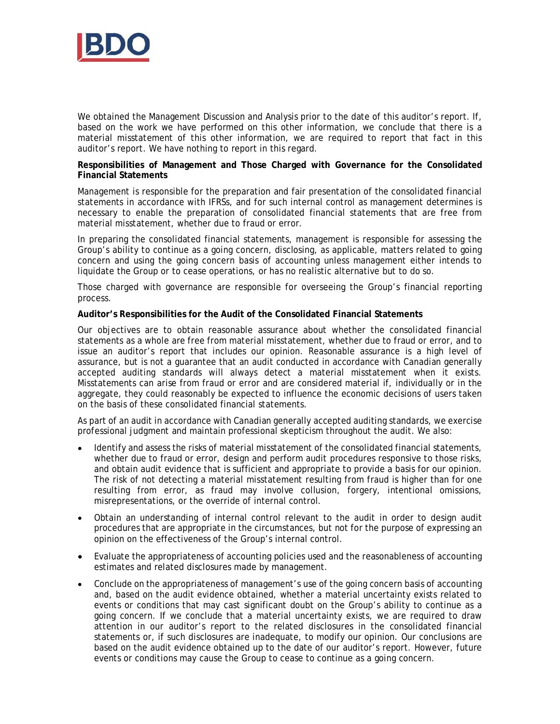

We obtained the Management Discussion and Analysis prior to the date of this auditor's report. If, based on the work we have performed on this other information, we conclude that there is a material misstatement of this other information, we are required to report that fact in this auditor's report. We have nothing to report in this regard.

**Responsibilities of Management and Those Charged with Governance for the Consolidated Financial Statements**

Management is responsible for the preparation and fair presentation of the consolidated financial statements in accordance with IFRSs, and for such internal control as management determines is necessary to enable the preparation of consolidated financial statements that are free from material misstatement, whether due to fraud or error.

In preparing the consolidated financial statements, management is responsible for assessing the Group's ability to continue as a going concern, disclosing, as applicable, matters related to going concern and using the going concern basis of accounting unless management either intends to liquidate the Group or to cease operations, or has no realistic alternative but to do so.

Those charged with governance are responsible for overseeing the Group's financial reporting process.

**Auditor's Responsibilities for the Audit of the Consolidated Financial Statements**

Our objectives are to obtain reasonable assurance about whether the consolidated financial statements as a whole are free from material misstatement, whether due to fraud or error, and to issue an auditor's report that includes our opinion. Reasonable assurance is a high level of assurance, but is not a guarantee that an audit conducted in accordance with Canadian generally accepted auditing standards will always detect a material misstatement when it exists. Misstatements can arise from fraud or error and are considered material if, individually or in the aggregate, they could reasonably be expected to influence the economic decisions of users taken on the basis of these consolidated financial statements.

As part of an audit in accordance with Canadian generally accepted auditing standards, we exercise professional judgment and maintain professional skepticism throughout the audit. We also:

- Identify and assess the risks of material misstatement of the consolidated financial statements, whether due to fraud or error, design and perform audit procedures responsive to those risks, and obtain audit evidence that is sufficient and appropriate to provide a basis for our opinion. The risk of not detecting a material misstatement resulting from fraud is higher than for one resulting from error, as fraud may involve collusion, forgery, intentional omissions, misrepresentations, or the override of internal control.
- Obtain an understanding of internal control relevant to the audit in order to design audit  $\bullet$ procedures that are appropriate in the circumstances, but not for the purpose of expressing an opinion on the effectiveness of the Group's internal control.
- Evaluate the appropriateness of accounting policies used and the reasonableness of accounting estimates and related disclosures made by management.
- Conclude on the appropriateness of management's use of the going concern basis of accounting  $\bullet$ and, based on the audit evidence obtained, whether a material uncertainty exists related to events or conditions that may cast significant doubt on the Group's ability to continue as a going concern. If we conclude that a material uncertainty exists, we are required to draw attention in our auditor's report to the related disclosures in the consolidated financial statements or, if such disclosures are inadequate, to modify our opinion. Our conclusions are based on the audit evidence obtained up to the date of our auditor's report. However, future events or conditions may cause the Group to cease to continue as a going concern.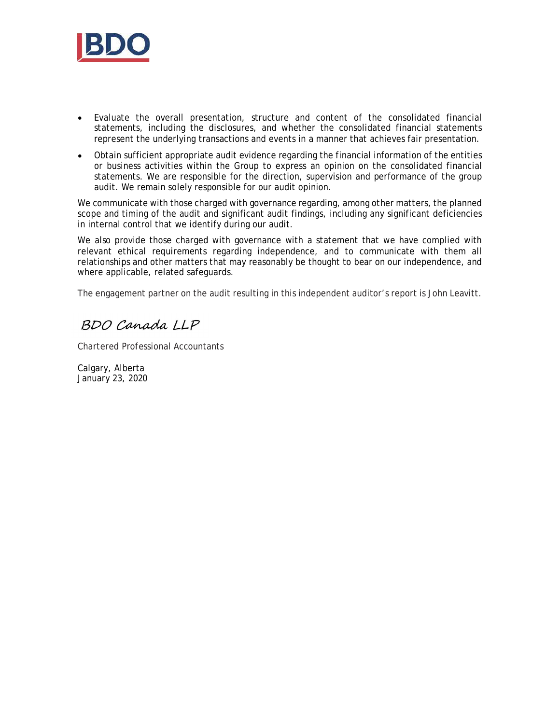

- Evaluate the overall presentation, structure and content of the consolidated financial  $\bullet$ statements, including the disclosures, and whether the consolidated financial statements represent the underlying transactions and events in a manner that achieves fair presentation.
- Obtain sufficient appropriate audit evidence regarding the financial information of the entities or business activities within the Group to express an opinion on the consolidated financial statements. We are responsible for the direction, supervision and performance of the group audit. We remain solely responsible for our audit opinion.

We communicate with those charged with governance regarding, among other matters, the planned scope and timing of the audit and significant audit findings, including any significant deficiencies in internal control that we identify during our audit.

We also provide those charged with governance with a statement that we have complied with relevant ethical requirements regarding independence, and to communicate with them all relationships and other matters that may reasonably be thought to bear on our independence, and where applicable, related safeguards.

The engagement partner on the audit resulting in this independent auditor's report is John Leavitt.

BDO Canada LLP

Chartered Professional Accountants

Calgary, Alberta January 23, 2020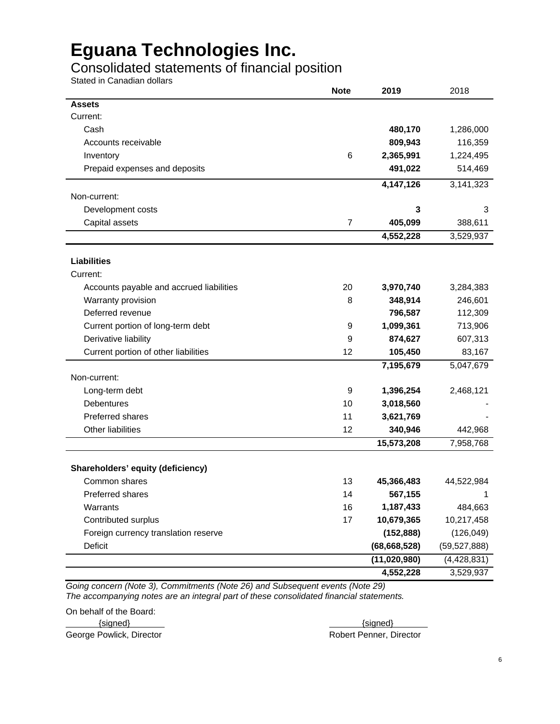# Consolidated statements of financial position

Stated in Canadian dollars

| <b>Note</b>                                    | 2019           | 2018           |
|------------------------------------------------|----------------|----------------|
| <b>Assets</b>                                  |                |                |
| Current:                                       |                |                |
| Cash                                           | 480,170        | 1,286,000      |
| Accounts receivable                            | 809,943        | 116,359        |
| 6<br>Inventory                                 | 2,365,991      | 1,224,495      |
| Prepaid expenses and deposits                  | 491,022        | 514,469        |
|                                                | 4,147,126      | 3,141,323      |
| Non-current:                                   |                |                |
| Development costs                              | 3              | 3              |
| Capital assets<br>$\overline{7}$               | 405,099        | 388,611        |
|                                                | 4,552,228      | 3,529,937      |
| <b>Liabilities</b>                             |                |                |
| Current:                                       |                |                |
| 20<br>Accounts payable and accrued liabilities | 3,970,740      | 3,284,383      |
| Warranty provision<br>8                        | 348,914        | 246,601        |
| Deferred revenue                               | 796,587        | 112,309        |
| 9<br>Current portion of long-term debt         | 1,099,361      | 713,906        |
| Derivative liability<br>9                      | 874,627        | 607,313        |
| Current portion of other liabilities<br>12     | 105,450        | 83,167         |
|                                                | 7,195,679      | 5,047,679      |
| Non-current:                                   |                |                |
| 9<br>Long-term debt                            | 1,396,254      | 2,468,121      |
| Debentures<br>10                               | 3,018,560      |                |
| Preferred shares<br>11                         | 3,621,769      |                |
| Other liabilities<br>12                        | 340,946        | 442,968        |
|                                                | 15,573,208     | 7,958,768      |
| Shareholders' equity (deficiency)              |                |                |
| Common shares<br>13                            | 45,366,483     | 44,522,984     |
| 14<br>Preferred shares                         | 567,155        | 1.             |
| 16<br>Warrants                                 | 1,187,433      | 484,663        |
| 17<br>Contributed surplus                      | 10,679,365     | 10,217,458     |
| Foreign currency translation reserve           | (152, 888)     | (126, 049)     |
| Deficit                                        | (68, 668, 528) | (59, 527, 888) |
|                                                | (11,020,980)   | (4, 428, 831)  |
|                                                | 4,552,228      | 3,529,937      |

*Going concern (Note 3), Commitments (Note 26) and Subsequent events (Note 29) The accompanying notes are an integral part of these consolidated financial statements.* 

On behalf of the Board:

 $\{ \text{signed} \}$   $\{ \text{signed} \}$ 

George Powlick, Director **Robert Penner, Director** Robert Penner, Director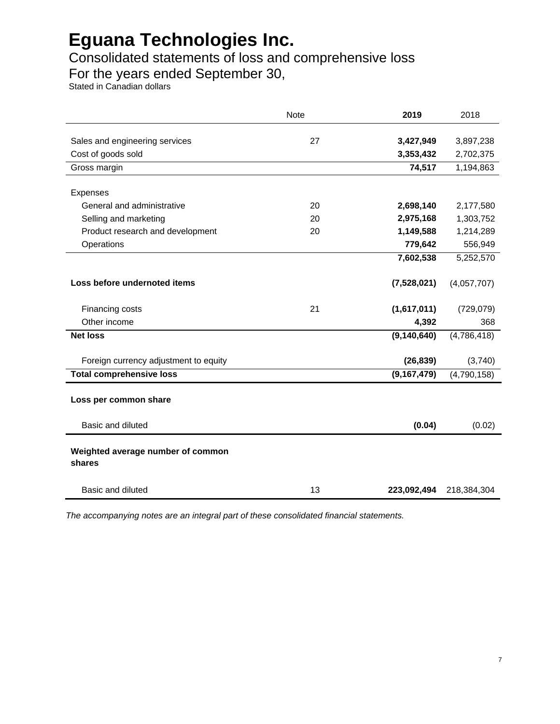# Consolidated statements of loss and comprehensive loss

For the years ended September 30,

Stated in Canadian dollars

|                                       | Note | 2019          | 2018        |
|---------------------------------------|------|---------------|-------------|
|                                       |      |               |             |
| Sales and engineering services        | 27   | 3,427,949     | 3,897,238   |
| Cost of goods sold                    |      | 3,353,432     | 2,702,375   |
| Gross margin                          |      | 74,517        | 1,194,863   |
|                                       |      |               |             |
| Expenses                              |      |               |             |
| General and administrative            | 20   | 2,698,140     | 2,177,580   |
| Selling and marketing                 | 20   | 2,975,168     | 1,303,752   |
| Product research and development      | 20   | 1,149,588     | 1,214,289   |
| Operations                            |      | 779,642       | 556,949     |
|                                       |      | 7,602,538     | 5,252,570   |
|                                       |      |               |             |
| Loss before undernoted items          |      | (7,528,021)   | (4,057,707) |
|                                       |      |               |             |
| Financing costs                       | 21   | (1,617,011)   | (729, 079)  |
| Other income                          |      | 4,392         | 368         |
| <b>Net loss</b>                       |      | (9, 140, 640) | (4,786,418) |
|                                       |      |               |             |
| Foreign currency adjustment to equity |      | (26, 839)     | (3,740)     |
| <b>Total comprehensive loss</b>       |      | (9, 167, 479) | (4,790,158) |
|                                       |      |               |             |
| Loss per common share                 |      |               |             |
|                                       |      |               |             |
| <b>Basic and diluted</b>              |      | (0.04)        | (0.02)      |
|                                       |      |               |             |
| Weighted average number of common     |      |               |             |
| shares                                |      |               |             |
|                                       |      |               |             |
| <b>Basic and diluted</b>              | 13   | 223,092,494   | 218,384,304 |

*The accompanying notes are an integral part of these consolidated financial statements.*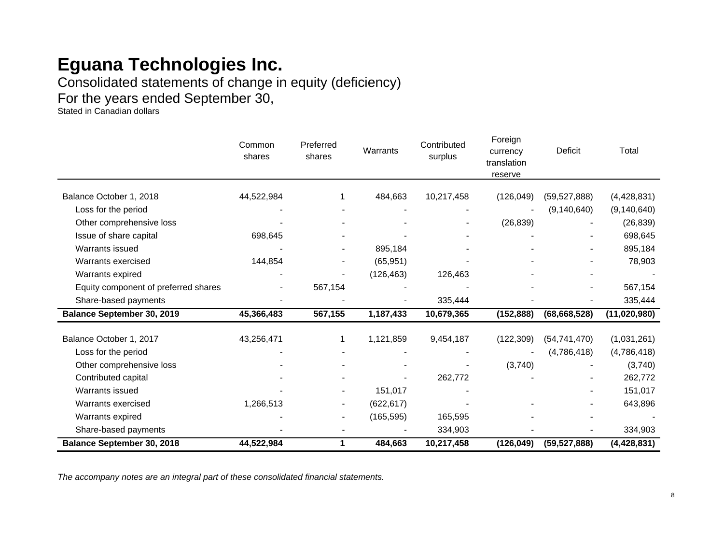Consolidated statements of change in equity (deficiency)

For the years ended September 30,

Stated in Canadian dollars

|                                      | Common<br>shares | Preferred<br>shares | Warrants   | Contributed<br>surplus | Foreign<br>currency<br>translation<br>reserve | Deficit        | Total         |
|--------------------------------------|------------------|---------------------|------------|------------------------|-----------------------------------------------|----------------|---------------|
| Balance October 1, 2018              | 44,522,984       |                     | 484,663    | 10,217,458             | (126, 049)                                    | (59, 527, 888) | (4,428,831)   |
| Loss for the period                  |                  |                     |            |                        |                                               | (9, 140, 640)  | (9, 140, 640) |
| Other comprehensive loss             |                  |                     |            |                        | (26, 839)                                     |                | (26, 839)     |
| Issue of share capital               | 698,645          |                     |            |                        |                                               |                | 698,645       |
| Warrants issued                      |                  |                     | 895,184    |                        |                                               |                | 895,184       |
| Warrants exercised                   | 144,854          |                     | (65, 951)  |                        |                                               |                | 78,903        |
| Warrants expired                     |                  |                     | (126, 463) | 126,463                |                                               |                |               |
| Equity component of preferred shares |                  | 567,154             |            |                        |                                               |                | 567,154       |
| Share-based payments                 |                  |                     |            | 335,444                |                                               |                | 335,444       |
| <b>Balance September 30, 2019</b>    | 45,366,483       | 567,155             | 1,187,433  | 10,679,365             | (152, 888)                                    | (68, 668, 528) | (11,020,980)  |
| Balance October 1, 2017              | 43,256,471       |                     | 1,121,859  | 9,454,187              | (122, 309)                                    | (54, 741, 470) | (1,031,261)   |
| Loss for the period                  |                  |                     |            |                        |                                               | (4,786,418)    | (4,786,418)   |
| Other comprehensive loss             |                  |                     |            |                        | (3,740)                                       |                | (3,740)       |
| Contributed capital                  |                  |                     |            | 262,772                |                                               |                | 262,772       |
| Warrants issued                      |                  |                     | 151,017    |                        |                                               |                | 151,017       |
| Warrants exercised                   | 1,266,513        |                     | (622, 617) |                        |                                               |                | 643,896       |
| Warrants expired                     |                  |                     | (165, 595) | 165,595                |                                               |                |               |
| Share-based payments                 |                  |                     |            | 334,903                |                                               |                | 334,903       |
| <b>Balance September 30, 2018</b>    | 44,522,984       | 1                   | 484,663    | 10,217,458             | (126, 049)                                    | (59, 527, 888) | (4, 428, 831) |

*The accompany notes are an integral part of these consolidated financial statements.*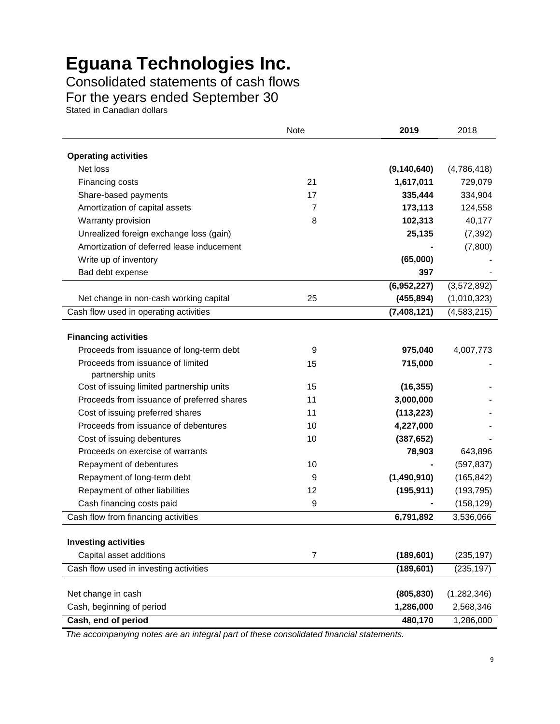Consolidated statements of cash flows For the years ended September 30

Stated in Canadian dollars

|                                            | Note           | 2019          | 2018          |
|--------------------------------------------|----------------|---------------|---------------|
| <b>Operating activities</b>                |                |               |               |
| Net loss                                   |                | (9, 140, 640) | (4,786,418)   |
| Financing costs                            | 21             | 1,617,011     | 729,079       |
| Share-based payments                       | 17             | 335,444       | 334,904       |
| Amortization of capital assets             | 7              | 173,113       | 124,558       |
| Warranty provision                         | 8              | 102,313       | 40,177        |
| Unrealized foreign exchange loss (gain)    |                | 25,135        | (7, 392)      |
| Amortization of deferred lease inducement  |                |               | (7,800)       |
| Write up of inventory                      |                | (65,000)      |               |
| Bad debt expense                           |                | 397           |               |
|                                            |                | (6,952,227)   | (3,572,892)   |
| Net change in non-cash working capital     | 25             | (455, 894)    | (1,010,323)   |
| Cash flow used in operating activities     |                | (7,408,121)   | (4, 583, 215) |
|                                            |                |               |               |
| <b>Financing activities</b>                |                |               |               |
| Proceeds from issuance of long-term debt   | 9              | 975,040       | 4,007,773     |
| Proceeds from issuance of limited          | 15             | 715,000       |               |
| partnership units                          |                |               |               |
| Cost of issuing limited partnership units  | 15             | (16, 355)     |               |
| Proceeds from issuance of preferred shares | 11             | 3,000,000     |               |
| Cost of issuing preferred shares           | 11             | (113, 223)    |               |
| Proceeds from issuance of debentures       | 10             | 4,227,000     |               |
| Cost of issuing debentures                 | 10             | (387, 652)    |               |
| Proceeds on exercise of warrants           |                | 78,903        | 643,896       |
| Repayment of debentures                    | 10             |               | (597, 837)    |
| Repayment of long-term debt                | 9              | (1,490,910)   | (165, 842)    |
| Repayment of other liabilities             | 12             | (195, 911)    | (193, 795)    |
| Cash financing costs paid                  | 9              |               | (158, 129)    |
| Cash flow from financing activities        |                | 6,791,892     | 3,536,066     |
| <b>Investing activities</b>                |                |               |               |
| Capital asset additions                    | $\overline{7}$ | (189, 601)    | (235, 197)    |
| Cash flow used in investing activities     |                | (189, 601)    |               |
|                                            |                |               | (235, 197)    |
| Net change in cash                         |                | (805, 830)    | (1, 282, 346) |
| Cash, beginning of period                  |                | 1,286,000     | 2,568,346     |
| Cash, end of period                        |                | 480,170       | 1,286,000     |

*The accompanying notes are an integral part of these consolidated financial statements.*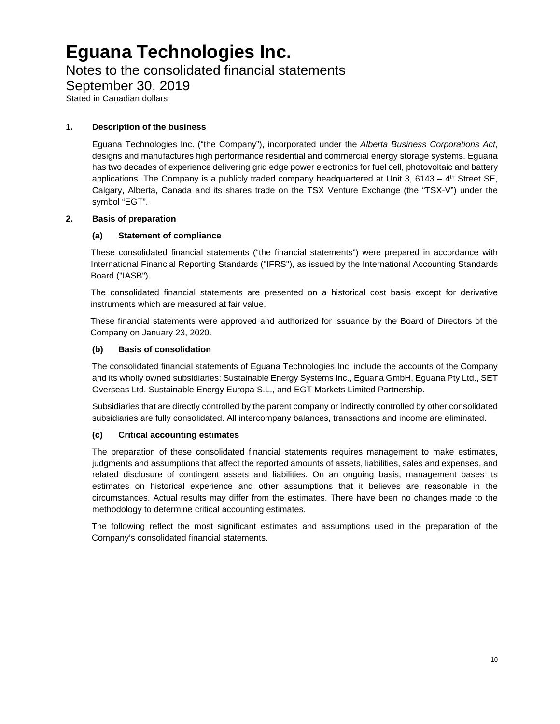## Notes to the consolidated financial statements

September 30, 2019

Stated in Canadian dollars

### **1. Description of the business**

Eguana Technologies Inc. ("the Company"), incorporated under the *Alberta Business Corporations Act*, designs and manufactures high performance residential and commercial energy storage systems. Eguana has two decades of experience delivering grid edge power electronics for fuel cell, photovoltaic and battery applications. The Company is a publicly traded company headquartered at Unit 3, 6143 –  $4<sup>th</sup>$  Street SE, Calgary, Alberta, Canada and its shares trade on the TSX Venture Exchange (the "TSX-V") under the symbol "EGT".

### **2. Basis of preparation**

### **(a) Statement of compliance**

These consolidated financial statements ("the financial statements") were prepared in accordance with International Financial Reporting Standards ("IFRS"), as issued by the International Accounting Standards Board ("IASB").

The consolidated financial statements are presented on a historical cost basis except for derivative instruments which are measured at fair value.

These financial statements were approved and authorized for issuance by the Board of Directors of the Company on January 23, 2020.

### **(b) Basis of consolidation**

The consolidated financial statements of Eguana Technologies Inc. include the accounts of the Company and its wholly owned subsidiaries: Sustainable Energy Systems Inc., Eguana GmbH, Eguana Pty Ltd., SET Overseas Ltd. Sustainable Energy Europa S.L., and EGT Markets Limited Partnership.

Subsidiaries that are directly controlled by the parent company or indirectly controlled by other consolidated subsidiaries are fully consolidated. All intercompany balances, transactions and income are eliminated.

### **(c) Critical accounting estimates**

The preparation of these consolidated financial statements requires management to make estimates, judgments and assumptions that affect the reported amounts of assets, liabilities, sales and expenses, and related disclosure of contingent assets and liabilities. On an ongoing basis, management bases its estimates on historical experience and other assumptions that it believes are reasonable in the circumstances. Actual results may differ from the estimates. There have been no changes made to the methodology to determine critical accounting estimates.

The following reflect the most significant estimates and assumptions used in the preparation of the Company's consolidated financial statements.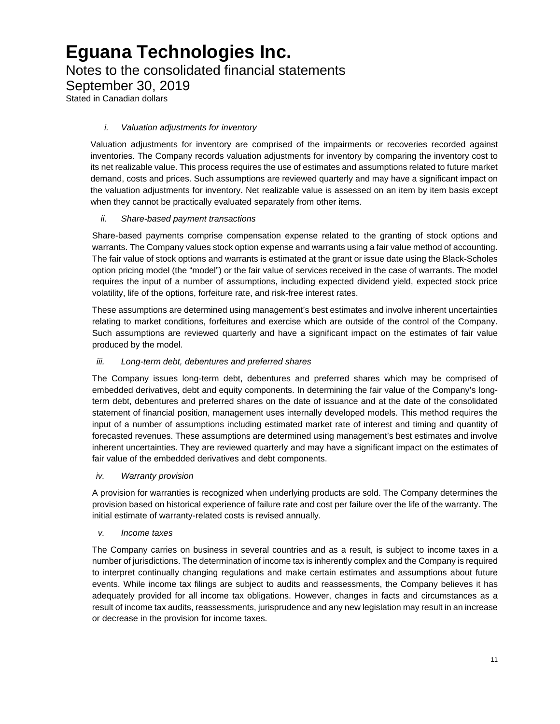Notes to the consolidated financial statements

September 30, 2019

Stated in Canadian dollars

### *i. Valuation adjustments for inventory*

Valuation adjustments for inventory are comprised of the impairments or recoveries recorded against inventories. The Company records valuation adjustments for inventory by comparing the inventory cost to its net realizable value. This process requires the use of estimates and assumptions related to future market demand, costs and prices. Such assumptions are reviewed quarterly and may have a significant impact on the valuation adjustments for inventory. Net realizable value is assessed on an item by item basis except when they cannot be practically evaluated separately from other items.

### *ii. Share-based payment transactions*

Share-based payments comprise compensation expense related to the granting of stock options and warrants. The Company values stock option expense and warrants using a fair value method of accounting. The fair value of stock options and warrants is estimated at the grant or issue date using the Black-Scholes option pricing model (the "model") or the fair value of services received in the case of warrants. The model requires the input of a number of assumptions, including expected dividend yield, expected stock price volatility, life of the options, forfeiture rate, and risk-free interest rates.

These assumptions are determined using management's best estimates and involve inherent uncertainties relating to market conditions, forfeitures and exercise which are outside of the control of the Company. Such assumptions are reviewed quarterly and have a significant impact on the estimates of fair value produced by the model.

### *iii. Long-term debt, debentures and preferred shares*

The Company issues long-term debt, debentures and preferred shares which may be comprised of embedded derivatives, debt and equity components. In determining the fair value of the Company's longterm debt, debentures and preferred shares on the date of issuance and at the date of the consolidated statement of financial position, management uses internally developed models. This method requires the input of a number of assumptions including estimated market rate of interest and timing and quantity of forecasted revenues. These assumptions are determined using management's best estimates and involve inherent uncertainties. They are reviewed quarterly and may have a significant impact on the estimates of fair value of the embedded derivatives and debt components.

## *iv. Warranty provision*

A provision for warranties is recognized when underlying products are sold. The Company determines the provision based on historical experience of failure rate and cost per failure over the life of the warranty. The initial estimate of warranty-related costs is revised annually.

### *v. Income taxes*

The Company carries on business in several countries and as a result, is subject to income taxes in a number of jurisdictions. The determination of income tax is inherently complex and the Company is required to interpret continually changing regulations and make certain estimates and assumptions about future events. While income tax filings are subject to audits and reassessments, the Company believes it has adequately provided for all income tax obligations. However, changes in facts and circumstances as a result of income tax audits, reassessments, jurisprudence and any new legislation may result in an increase or decrease in the provision for income taxes.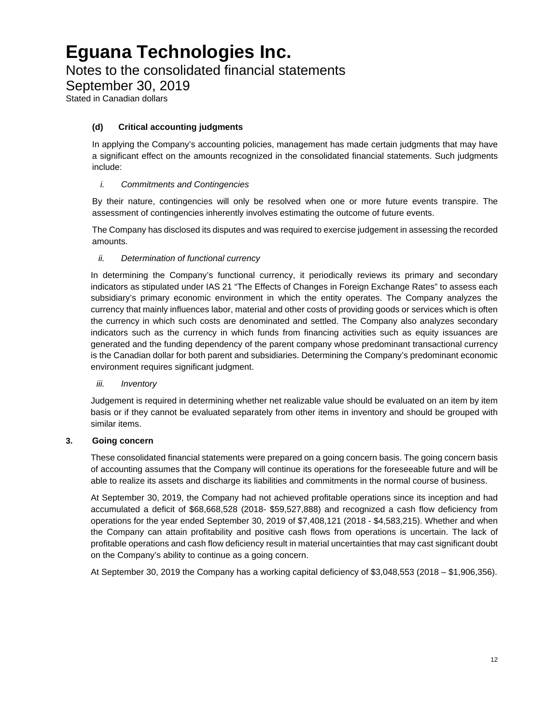Notes to the consolidated financial statements

September 30, 2019

Stated in Canadian dollars

## **(d) Critical accounting judgments**

In applying the Company's accounting policies, management has made certain judgments that may have a significant effect on the amounts recognized in the consolidated financial statements. Such judgments include:

### *i. Commitments and Contingencies*

By their nature, contingencies will only be resolved when one or more future events transpire. The assessment of contingencies inherently involves estimating the outcome of future events.

The Company has disclosed its disputes and was required to exercise judgement in assessing the recorded amounts.

### *ii. Determination of functional currency*

In determining the Company's functional currency, it periodically reviews its primary and secondary indicators as stipulated under IAS 21 "The Effects of Changes in Foreign Exchange Rates" to assess each subsidiary's primary economic environment in which the entity operates. The Company analyzes the currency that mainly influences labor, material and other costs of providing goods or services which is often the currency in which such costs are denominated and settled. The Company also analyzes secondary indicators such as the currency in which funds from financing activities such as equity issuances are generated and the funding dependency of the parent company whose predominant transactional currency is the Canadian dollar for both parent and subsidiaries. Determining the Company's predominant economic environment requires significant judgment.

### *iii. Inventory*

Judgement is required in determining whether net realizable value should be evaluated on an item by item basis or if they cannot be evaluated separately from other items in inventory and should be grouped with similar items.

### **3. Going concern**

These consolidated financial statements were prepared on a going concern basis. The going concern basis of accounting assumes that the Company will continue its operations for the foreseeable future and will be able to realize its assets and discharge its liabilities and commitments in the normal course of business.

At September 30, 2019, the Company had not achieved profitable operations since its inception and had accumulated a deficit of \$68,668,528 (2018- \$59,527,888) and recognized a cash flow deficiency from operations for the year ended September 30, 2019 of \$7,408,121 (2018 - \$4,583,215). Whether and when the Company can attain profitability and positive cash flows from operations is uncertain. The lack of profitable operations and cash flow deficiency result in material uncertainties that may cast significant doubt on the Company's ability to continue as a going concern.

At September 30, 2019 the Company has a working capital deficiency of \$3,048,553 (2018 – \$1,906,356).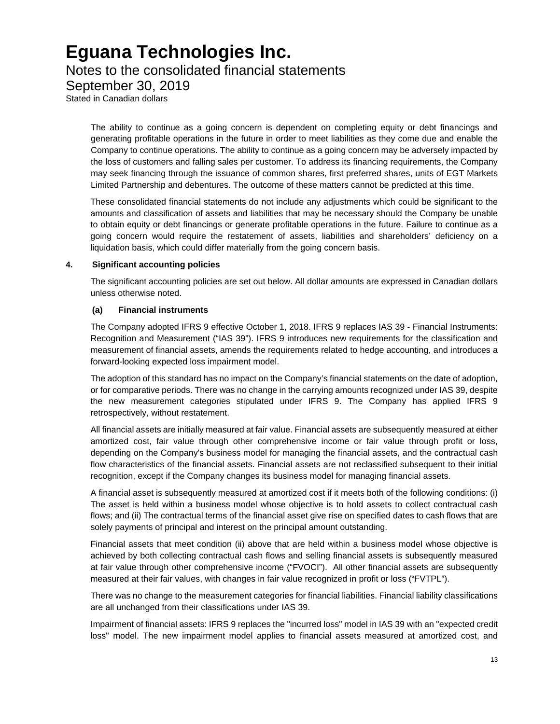## Notes to the consolidated financial statements

September 30, 2019

Stated in Canadian dollars

The ability to continue as a going concern is dependent on completing equity or debt financings and generating profitable operations in the future in order to meet liabilities as they come due and enable the Company to continue operations. The ability to continue as a going concern may be adversely impacted by the loss of customers and falling sales per customer. To address its financing requirements, the Company may seek financing through the issuance of common shares, first preferred shares, units of EGT Markets Limited Partnership and debentures. The outcome of these matters cannot be predicted at this time.

These consolidated financial statements do not include any adjustments which could be significant to the amounts and classification of assets and liabilities that may be necessary should the Company be unable to obtain equity or debt financings or generate profitable operations in the future. Failure to continue as a going concern would require the restatement of assets, liabilities and shareholders' deficiency on a liquidation basis, which could differ materially from the going concern basis.

### **4. Significant accounting policies**

The significant accounting policies are set out below. All dollar amounts are expressed in Canadian dollars unless otherwise noted.

#### **(a) Financial instruments**

The Company adopted IFRS 9 effective October 1, 2018. IFRS 9 replaces IAS 39 - Financial Instruments: Recognition and Measurement ("IAS 39"). IFRS 9 introduces new requirements for the classification and measurement of financial assets, amends the requirements related to hedge accounting, and introduces a forward-looking expected loss impairment model.

The adoption of this standard has no impact on the Company's financial statements on the date of adoption, or for comparative periods. There was no change in the carrying amounts recognized under IAS 39, despite the new measurement categories stipulated under IFRS 9. The Company has applied IFRS 9 retrospectively, without restatement.

All financial assets are initially measured at fair value. Financial assets are subsequently measured at either amortized cost, fair value through other comprehensive income or fair value through profit or loss, depending on the Company's business model for managing the financial assets, and the contractual cash flow characteristics of the financial assets. Financial assets are not reclassified subsequent to their initial recognition, except if the Company changes its business model for managing financial assets.

A financial asset is subsequently measured at amortized cost if it meets both of the following conditions: (i) The asset is held within a business model whose objective is to hold assets to collect contractual cash flows; and (ii) The contractual terms of the financial asset give rise on specified dates to cash flows that are solely payments of principal and interest on the principal amount outstanding.

Financial assets that meet condition (ii) above that are held within a business model whose objective is achieved by both collecting contractual cash flows and selling financial assets is subsequently measured at fair value through other comprehensive income ("FVOCI"). All other financial assets are subsequently measured at their fair values, with changes in fair value recognized in profit or loss ("FVTPL").

There was no change to the measurement categories for financial liabilities. Financial liability classifications are all unchanged from their classifications under IAS 39.

Impairment of financial assets: IFRS 9 replaces the "incurred loss" model in IAS 39 with an "expected credit loss" model. The new impairment model applies to financial assets measured at amortized cost, and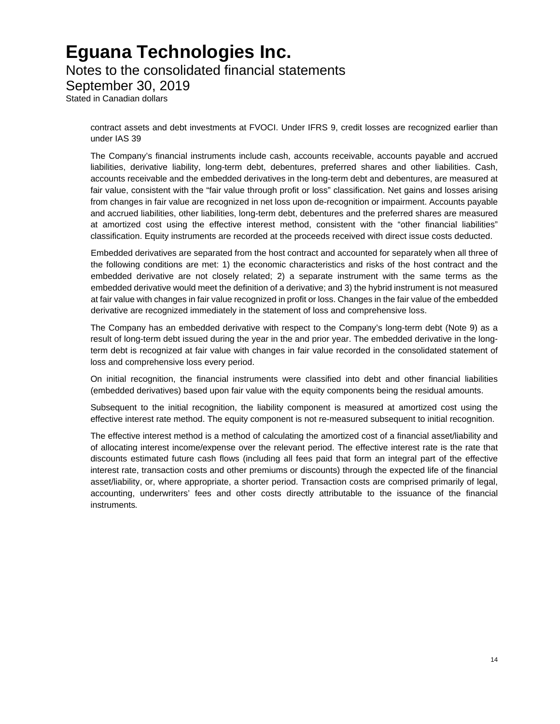## Notes to the consolidated financial statements

September 30, 2019

Stated in Canadian dollars

contract assets and debt investments at FVOCI. Under IFRS 9, credit losses are recognized earlier than under IAS 39

The Company's financial instruments include cash, accounts receivable, accounts payable and accrued liabilities, derivative liability, long-term debt, debentures, preferred shares and other liabilities. Cash, accounts receivable and the embedded derivatives in the long-term debt and debentures, are measured at fair value, consistent with the "fair value through profit or loss" classification. Net gains and losses arising from changes in fair value are recognized in net loss upon de-recognition or impairment. Accounts payable and accrued liabilities, other liabilities, long-term debt, debentures and the preferred shares are measured at amortized cost using the effective interest method, consistent with the "other financial liabilities" classification. Equity instruments are recorded at the proceeds received with direct issue costs deducted.

Embedded derivatives are separated from the host contract and accounted for separately when all three of the following conditions are met: 1) the economic characteristics and risks of the host contract and the embedded derivative are not closely related; 2) a separate instrument with the same terms as the embedded derivative would meet the definition of a derivative; and 3) the hybrid instrument is not measured at fair value with changes in fair value recognized in profit or loss. Changes in the fair value of the embedded derivative are recognized immediately in the statement of loss and comprehensive loss.

The Company has an embedded derivative with respect to the Company's long-term debt (Note 9) as a result of long-term debt issued during the year in the and prior year. The embedded derivative in the longterm debt is recognized at fair value with changes in fair value recorded in the consolidated statement of loss and comprehensive loss every period.

On initial recognition, the financial instruments were classified into debt and other financial liabilities (embedded derivatives) based upon fair value with the equity components being the residual amounts.

Subsequent to the initial recognition, the liability component is measured at amortized cost using the effective interest rate method. The equity component is not re-measured subsequent to initial recognition.

The effective interest method is a method of calculating the amortized cost of a financial asset/liability and of allocating interest income/expense over the relevant period. The effective interest rate is the rate that discounts estimated future cash flows (including all fees paid that form an integral part of the effective interest rate, transaction costs and other premiums or discounts) through the expected life of the financial asset/liability, or, where appropriate, a shorter period. Transaction costs are comprised primarily of legal, accounting, underwriters' fees and other costs directly attributable to the issuance of the financial instruments*.*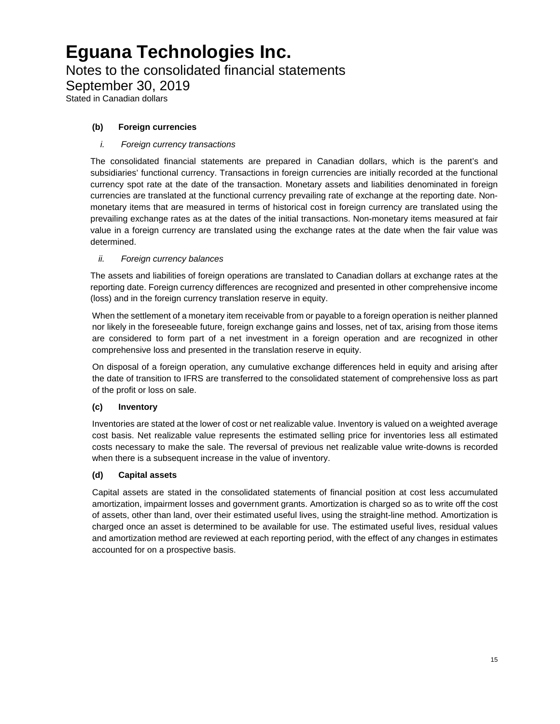Notes to the consolidated financial statements

September 30, 2019

Stated in Canadian dollars

## **(b) Foreign currencies**

## *i. Foreign currency transactions*

The consolidated financial statements are prepared in Canadian dollars, which is the parent's and subsidiaries' functional currency. Transactions in foreign currencies are initially recorded at the functional currency spot rate at the date of the transaction. Monetary assets and liabilities denominated in foreign currencies are translated at the functional currency prevailing rate of exchange at the reporting date. Nonmonetary items that are measured in terms of historical cost in foreign currency are translated using the prevailing exchange rates as at the dates of the initial transactions. Non-monetary items measured at fair value in a foreign currency are translated using the exchange rates at the date when the fair value was determined.

### *ii. Foreign currency balances*

The assets and liabilities of foreign operations are translated to Canadian dollars at exchange rates at the reporting date. Foreign currency differences are recognized and presented in other comprehensive income (loss) and in the foreign currency translation reserve in equity.

When the settlement of a monetary item receivable from or payable to a foreign operation is neither planned nor likely in the foreseeable future, foreign exchange gains and losses, net of tax, arising from those items are considered to form part of a net investment in a foreign operation and are recognized in other comprehensive loss and presented in the translation reserve in equity.

On disposal of a foreign operation, any cumulative exchange differences held in equity and arising after the date of transition to IFRS are transferred to the consolidated statement of comprehensive loss as part of the profit or loss on sale.

## **(c) Inventory**

Inventories are stated at the lower of cost or net realizable value. Inventory is valued on a weighted average cost basis. Net realizable value represents the estimated selling price for inventories less all estimated costs necessary to make the sale. The reversal of previous net realizable value write-downs is recorded when there is a subsequent increase in the value of inventory.

## **(d) Capital assets**

Capital assets are stated in the consolidated statements of financial position at cost less accumulated amortization, impairment losses and government grants. Amortization is charged so as to write off the cost of assets, other than land, over their estimated useful lives, using the straight-line method. Amortization is charged once an asset is determined to be available for use. The estimated useful lives, residual values and amortization method are reviewed at each reporting period, with the effect of any changes in estimates accounted for on a prospective basis.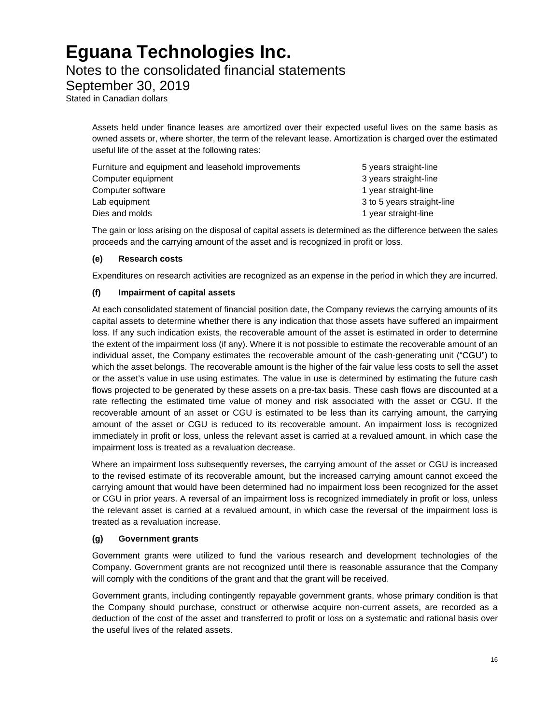## Notes to the consolidated financial statements

September 30, 2019

Stated in Canadian dollars

Assets held under finance leases are amortized over their expected useful lives on the same basis as owned assets or, where shorter, the term of the relevant lease. Amortization is charged over the estimated useful life of the asset at the following rates:

| Furniture and equipment and leasehold improvements | 5 years straight-line      |
|----------------------------------------------------|----------------------------|
| Computer equipment                                 | 3 years straight-line      |
| Computer software                                  | 1 year straight-line       |
| Lab equipment                                      | 3 to 5 years straight-line |
| Dies and molds                                     | 1 year straight-line       |

The gain or loss arising on the disposal of capital assets is determined as the difference between the sales proceeds and the carrying amount of the asset and is recognized in profit or loss.

### **(e) Research costs**

Expenditures on research activities are recognized as an expense in the period in which they are incurred.

#### **(f) Impairment of capital assets**

At each consolidated statement of financial position date, the Company reviews the carrying amounts of its capital assets to determine whether there is any indication that those assets have suffered an impairment loss. If any such indication exists, the recoverable amount of the asset is estimated in order to determine the extent of the impairment loss (if any). Where it is not possible to estimate the recoverable amount of an individual asset, the Company estimates the recoverable amount of the cash-generating unit ("CGU") to which the asset belongs. The recoverable amount is the higher of the fair value less costs to sell the asset or the asset's value in use using estimates. The value in use is determined by estimating the future cash flows projected to be generated by these assets on a pre-tax basis. These cash flows are discounted at a rate reflecting the estimated time value of money and risk associated with the asset or CGU. If the recoverable amount of an asset or CGU is estimated to be less than its carrying amount, the carrying amount of the asset or CGU is reduced to its recoverable amount. An impairment loss is recognized immediately in profit or loss, unless the relevant asset is carried at a revalued amount, in which case the impairment loss is treated as a revaluation decrease.

Where an impairment loss subsequently reverses, the carrying amount of the asset or CGU is increased to the revised estimate of its recoverable amount, but the increased carrying amount cannot exceed the carrying amount that would have been determined had no impairment loss been recognized for the asset or CGU in prior years. A reversal of an impairment loss is recognized immediately in profit or loss, unless the relevant asset is carried at a revalued amount, in which case the reversal of the impairment loss is treated as a revaluation increase.

#### **(g) Government grants**

Government grants were utilized to fund the various research and development technologies of the Company. Government grants are not recognized until there is reasonable assurance that the Company will comply with the conditions of the grant and that the grant will be received.

Government grants, including contingently repayable government grants, whose primary condition is that the Company should purchase, construct or otherwise acquire non-current assets, are recorded as a deduction of the cost of the asset and transferred to profit or loss on a systematic and rational basis over the useful lives of the related assets.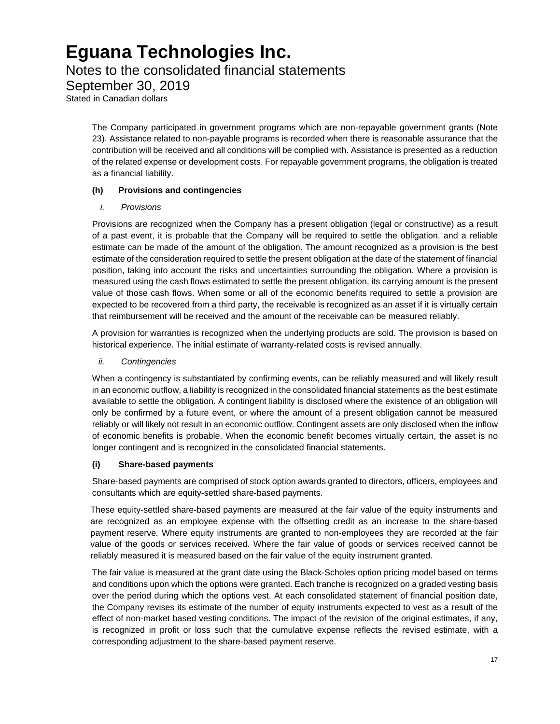Notes to the consolidated financial statements

September 30, 2019

Stated in Canadian dollars

The Company participated in government programs which are non-repayable government grants (Note 23). Assistance related to non-payable programs is recorded when there is reasonable assurance that the contribution will be received and all conditions will be complied with. Assistance is presented as a reduction of the related expense or development costs. For repayable government programs, the obligation is treated as a financial liability.

### **(h) Provisions and contingencies**

### *i. Provisions*

Provisions are recognized when the Company has a present obligation (legal or constructive) as a result of a past event, it is probable that the Company will be required to settle the obligation, and a reliable estimate can be made of the amount of the obligation. The amount recognized as a provision is the best estimate of the consideration required to settle the present obligation at the date of the statement of financial position, taking into account the risks and uncertainties surrounding the obligation. Where a provision is measured using the cash flows estimated to settle the present obligation, its carrying amount is the present value of those cash flows. When some or all of the economic benefits required to settle a provision are expected to be recovered from a third party, the receivable is recognized as an asset if it is virtually certain that reimbursement will be received and the amount of the receivable can be measured reliably.

A provision for warranties is recognized when the underlying products are sold. The provision is based on historical experience. The initial estimate of warranty-related costs is revised annually.

### *ii. Contingencies*

When a contingency is substantiated by confirming events, can be reliably measured and will likely result in an economic outflow, a liability is recognized in the consolidated financial statements as the best estimate available to settle the obligation. A contingent liability is disclosed where the existence of an obligation will only be confirmed by a future event, or where the amount of a present obligation cannot be measured reliably or will likely not result in an economic outflow. Contingent assets are only disclosed when the inflow of economic benefits is probable. When the economic benefit becomes virtually certain, the asset is no longer contingent and is recognized in the consolidated financial statements.

### **(i) Share-based payments**

Share-based payments are comprised of stock option awards granted to directors, officers, employees and consultants which are equity-settled share-based payments.

These equity-settled share-based payments are measured at the fair value of the equity instruments and are recognized as an employee expense with the offsetting credit as an increase to the share-based payment reserve*.* Where equity instruments are granted to non-employees they are recorded at the fair value of the goods or services received. Where the fair value of goods or services received cannot be reliably measured it is measured based on the fair value of the equity instrument granted.

The fair value is measured at the grant date using the Black-Scholes option pricing model based on terms and conditions upon which the options were granted. Each tranche is recognized on a graded vesting basis over the period during which the options vest. At each consolidated statement of financial position date, the Company revises its estimate of the number of equity instruments expected to vest as a result of the effect of non-market based vesting conditions. The impact of the revision of the original estimates, if any, is recognized in profit or loss such that the cumulative expense reflects the revised estimate, with a corresponding adjustment to the share-based payment reserve.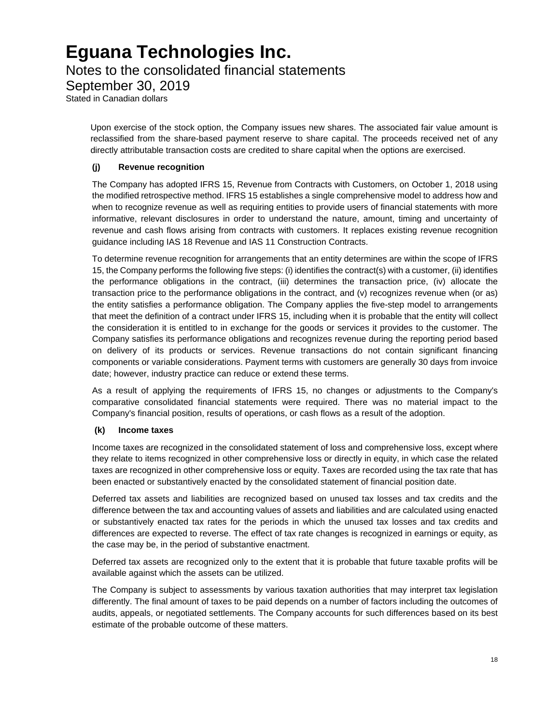## Notes to the consolidated financial statements

September 30, 2019

Stated in Canadian dollars

Upon exercise of the stock option, the Company issues new shares. The associated fair value amount is reclassified from the share-based payment reserve to share capital. The proceeds received net of any directly attributable transaction costs are credited to share capital when the options are exercised.

### **(j) Revenue recognition**

The Company has adopted IFRS 15, Revenue from Contracts with Customers, on October 1, 2018 using the modified retrospective method. IFRS 15 establishes a single comprehensive model to address how and when to recognize revenue as well as requiring entities to provide users of financial statements with more informative, relevant disclosures in order to understand the nature, amount, timing and uncertainty of revenue and cash flows arising from contracts with customers. It replaces existing revenue recognition guidance including IAS 18 Revenue and IAS 11 Construction Contracts.

To determine revenue recognition for arrangements that an entity determines are within the scope of IFRS 15, the Company performs the following five steps: (i) identifies the contract(s) with a customer, (ii) identifies the performance obligations in the contract, (iii) determines the transaction price, (iv) allocate the transaction price to the performance obligations in the contract, and (v) recognizes revenue when (or as) the entity satisfies a performance obligation. The Company applies the five-step model to arrangements that meet the definition of a contract under IFRS 15, including when it is probable that the entity will collect the consideration it is entitled to in exchange for the goods or services it provides to the customer. The Company satisfies its performance obligations and recognizes revenue during the reporting period based on delivery of its products or services. Revenue transactions do not contain significant financing components or variable considerations. Payment terms with customers are generally 30 days from invoice date; however, industry practice can reduce or extend these terms.

As a result of applying the requirements of IFRS 15, no changes or adjustments to the Company's comparative consolidated financial statements were required. There was no material impact to the Company's financial position, results of operations, or cash flows as a result of the adoption.

### **(k) Income taxes**

Income taxes are recognized in the consolidated statement of loss and comprehensive loss, except where they relate to items recognized in other comprehensive loss or directly in equity, in which case the related taxes are recognized in other comprehensive loss or equity. Taxes are recorded using the tax rate that has been enacted or substantively enacted by the consolidated statement of financial position date.

Deferred tax assets and liabilities are recognized based on unused tax losses and tax credits and the difference between the tax and accounting values of assets and liabilities and are calculated using enacted or substantively enacted tax rates for the periods in which the unused tax losses and tax credits and differences are expected to reverse. The effect of tax rate changes is recognized in earnings or equity, as the case may be, in the period of substantive enactment.

Deferred tax assets are recognized only to the extent that it is probable that future taxable profits will be available against which the assets can be utilized.

The Company is subject to assessments by various taxation authorities that may interpret tax legislation differently. The final amount of taxes to be paid depends on a number of factors including the outcomes of audits, appeals, or negotiated settlements. The Company accounts for such differences based on its best estimate of the probable outcome of these matters.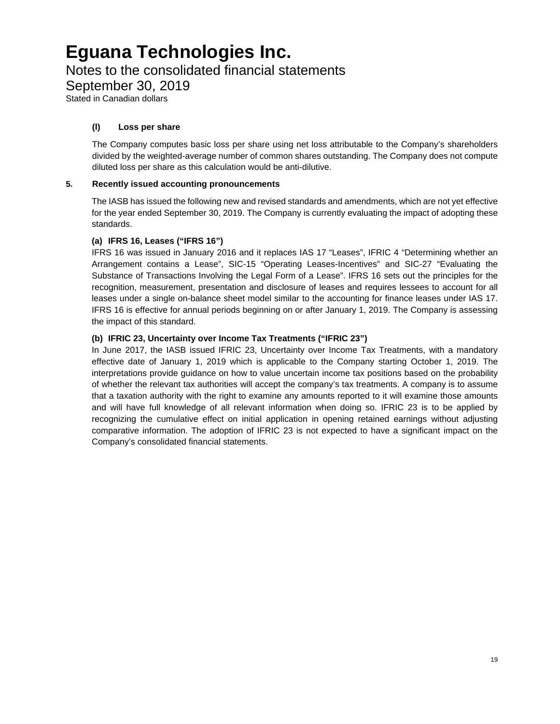## Notes to the consolidated financial statements

September 30, 2019

Stated in Canadian dollars

### **(l) Loss per share**

The Company computes basic loss per share using net loss attributable to the Company's shareholders divided by the weighted-average number of common shares outstanding. The Company does not compute diluted loss per share as this calculation would be anti-dilutive.

### **5. Recently issued accounting pronouncements**

The IASB has issued the following new and revised standards and amendments, which are not yet effective for the year ended September 30, 2019. The Company is currently evaluating the impact of adopting these standards.

#### **(a) IFRS 16, Leases ("IFRS 16")**

IFRS 16 was issued in January 2016 and it replaces IAS 17 "Leases", IFRIC 4 "Determining whether an Arrangement contains a Lease", SIC-15 "Operating Leases-Incentives" and SIC-27 "Evaluating the Substance of Transactions Involving the Legal Form of a Lease". IFRS 16 sets out the principles for the recognition, measurement, presentation and disclosure of leases and requires lessees to account for all leases under a single on-balance sheet model similar to the accounting for finance leases under IAS 17. IFRS 16 is effective for annual periods beginning on or after January 1, 2019. The Company is assessing the impact of this standard.

### **(b) IFRIC 23, Uncertainty over Income Tax Treatments ("IFRIC 23")**

In June 2017, the IASB issued IFRIC 23, Uncertainty over Income Tax Treatments, with a mandatory effective date of January 1, 2019 which is applicable to the Company starting October 1, 2019. The interpretations provide guidance on how to value uncertain income tax positions based on the probability of whether the relevant tax authorities will accept the company's tax treatments. A company is to assume that a taxation authority with the right to examine any amounts reported to it will examine those amounts and will have full knowledge of all relevant information when doing so. IFRIC 23 is to be applied by recognizing the cumulative effect on initial application in opening retained earnings without adjusting comparative information. The adoption of IFRIC 23 is not expected to have a significant impact on the Company's consolidated financial statements.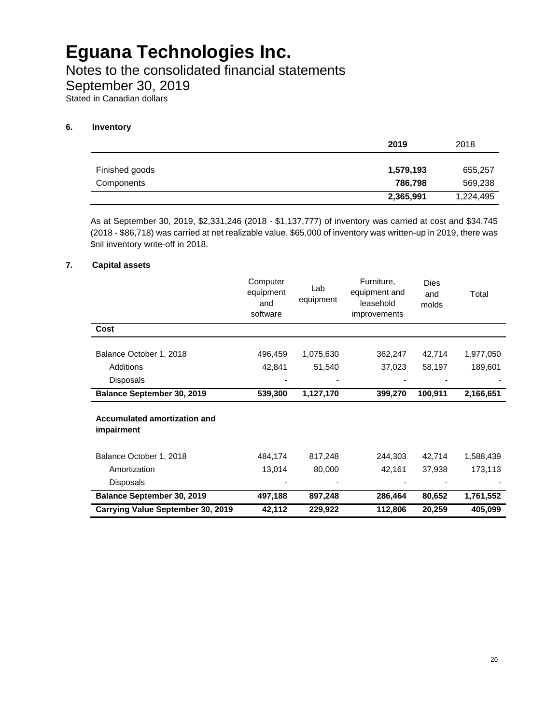Notes to the consolidated financial statements

September 30, 2019

Stated in Canadian dollars

### **6. Inventory**

|                | 2019      | 2018      |
|----------------|-----------|-----------|
|                |           |           |
| Finished goods | 1,579,193 | 655,257   |
| Components     | 786,798   | 569,238   |
|                | 2,365,991 | 1,224,495 |

As at September 30, 2019, \$2,331,246 (2018 - \$1,137,777) of inventory was carried at cost and \$34,745 (2018 - \$86,718) was carried at net realizable value. \$65,000 of inventory was written-up in 2019, there was \$nil inventory write-off in 2018.

#### **7. Capital assets**

|                                            | Computer<br>equipment<br>and<br>software | Lab<br>equipment | Furniture,<br>equipment and<br>leasehold<br>improvements | <b>Dies</b><br>and<br>molds | Total     |
|--------------------------------------------|------------------------------------------|------------------|----------------------------------------------------------|-----------------------------|-----------|
| Cost                                       |                                          |                  |                                                          |                             |           |
| Balance October 1, 2018                    | 496,459                                  | 1,075,630        | 362,247                                                  | 42,714                      | 1,977,050 |
| Additions                                  | 42,841                                   | 51,540           | 37,023                                                   | 58,197                      | 189,601   |
| Disposals                                  |                                          |                  |                                                          |                             |           |
| Balance September 30, 2019                 | 539,300                                  | 1,127,170        | 399,270                                                  | 100,911                     | 2,166,651 |
| Accumulated amortization and<br>impairment |                                          |                  |                                                          |                             |           |
| Balance October 1, 2018                    | 484,174                                  | 817,248          | 244,303                                                  | 42,714                      | 1,588,439 |
| Amortization                               | 13,014                                   | 80,000           | 42,161                                                   | 37,938                      | 173,113   |
| Disposals                                  |                                          |                  |                                                          |                             |           |
| <b>Balance September 30, 2019</b>          | 497,188                                  | 897,248          | 286,464                                                  | 80,652                      | 1,761,552 |
| Carrying Value September 30, 2019          | 42,112                                   | 229,922          | 112,806                                                  | 20,259                      | 405,099   |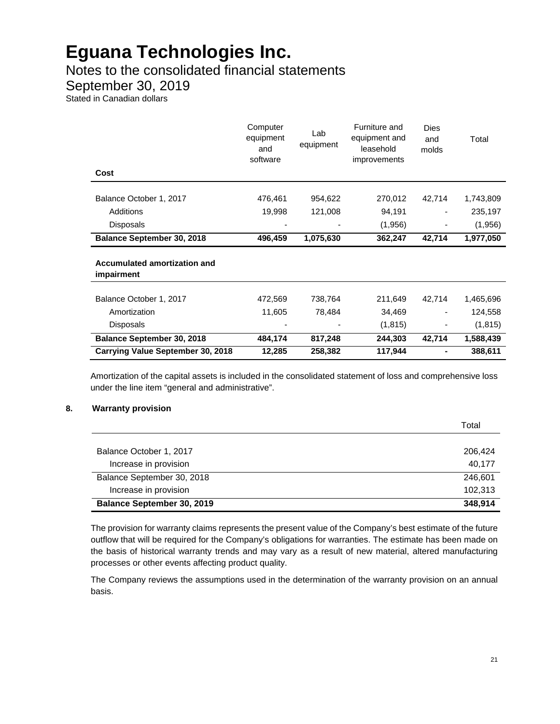## Notes to the consolidated financial statements

September 30, 2019

Stated in Canadian dollars

| Cost                                       | Computer<br>equipment<br>and<br>software | Lab<br>equipment | Furniture and<br>equipment and<br>leasehold<br>improvements | <b>Dies</b><br>and<br>molds | Total     |
|--------------------------------------------|------------------------------------------|------------------|-------------------------------------------------------------|-----------------------------|-----------|
|                                            |                                          |                  |                                                             |                             |           |
| Balance October 1, 2017                    | 476,461                                  | 954,622          | 270,012                                                     | 42,714                      | 1,743,809 |
| Additions                                  | 19,998                                   | 121,008          | 94,191                                                      |                             | 235,197   |
| Disposals                                  |                                          |                  | (1,956)                                                     |                             | (1,956)   |
| <b>Balance September 30, 2018</b>          | 496,459                                  | 1,075,630        | 362,247                                                     | 42,714                      | 1,977,050 |
| Accumulated amortization and<br>impairment |                                          |                  |                                                             |                             |           |
| Balance October 1, 2017                    | 472,569                                  | 738,764          | 211,649                                                     | 42,714                      | 1,465,696 |
| Amortization                               | 11,605                                   | 78,484           | 34,469                                                      |                             | 124,558   |
| Disposals                                  |                                          |                  | (1, 815)                                                    |                             | (1, 815)  |
| Balance September 30, 2018                 | 484,174                                  | 817,248          | 244,303                                                     | 42,714                      | 1,588,439 |
| Carrying Value September 30, 2018          | 12,285                                   | 258,382          | 117,944                                                     |                             | 388,611   |

Amortization of the capital assets is included in the consolidated statement of loss and comprehensive loss under the line item "general and administrative".

#### **8. Warranty provision**

|                                   | Total   |
|-----------------------------------|---------|
|                                   |         |
| Balance October 1, 2017           | 206,424 |
| Increase in provision             | 40.177  |
| Balance September 30, 2018        | 246,601 |
| Increase in provision             | 102.313 |
| <b>Balance September 30, 2019</b> | 348,914 |

The provision for warranty claims represents the present value of the Company's best estimate of the future outflow that will be required for the Company's obligations for warranties. The estimate has been made on the basis of historical warranty trends and may vary as a result of new material, altered manufacturing processes or other events affecting product quality.

The Company reviews the assumptions used in the determination of the warranty provision on an annual basis.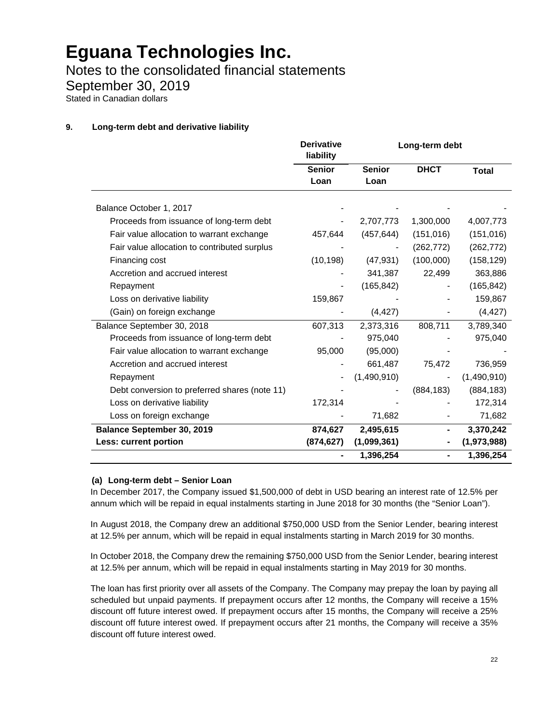Notes to the consolidated financial statements

September 30, 2019

Stated in Canadian dollars

### **9. Long-term debt and derivative liability**

|                                               | <b>Derivative</b><br>liability | Long-term debt        |                |              |
|-----------------------------------------------|--------------------------------|-----------------------|----------------|--------------|
|                                               | <b>Senior</b><br>Loan          | <b>Senior</b><br>Loan | <b>DHCT</b>    | <b>Total</b> |
| Balance October 1, 2017                       |                                |                       |                |              |
| Proceeds from issuance of long-term debt      |                                | 2,707,773             | 1,300,000      | 4,007,773    |
| Fair value allocation to warrant exchange     | 457,644                        | (457, 644)            | (151, 016)     | (151, 016)   |
| Fair value allocation to contributed surplus  |                                |                       | (262, 772)     | (262, 772)   |
| Financing cost                                | (10, 198)                      | (47, 931)             | (100,000)      | (158, 129)   |
| Accretion and accrued interest                |                                | 341,387               | 22,499         | 363,886      |
| Repayment                                     |                                | (165, 842)            |                | (165, 842)   |
| Loss on derivative liability                  | 159,867                        |                       |                | 159,867      |
| (Gain) on foreign exchange                    |                                | (4, 427)              |                | (4, 427)     |
| Balance September 30, 2018                    | 607,313                        | 2,373,316             | 808,711        | 3,789,340    |
| Proceeds from issuance of long-term debt      |                                | 975,040               |                | 975,040      |
| Fair value allocation to warrant exchange     | 95,000                         | (95,000)              |                |              |
| Accretion and accrued interest                |                                | 661,487               | 75,472         | 736,959      |
| Repayment                                     |                                | (1,490,910)           |                | (1,490,910)  |
| Debt conversion to preferred shares (note 11) |                                |                       | (884, 183)     | (884, 183)   |
| Loss on derivative liability                  | 172,314                        |                       |                | 172,314      |
| Loss on foreign exchange                      |                                | 71,682                |                | 71,682       |
| Balance September 30, 2019                    | 874,627                        | 2,495,615             |                | 3,370,242    |
| Less: current portion                         | (874, 627)                     | (1,099,361)           |                | (1,973,988)  |
|                                               |                                | 1,396,254             | $\blacksquare$ | 1,396,254    |

#### **(a) Long-term debt – Senior Loan**

In December 2017, the Company issued \$1,500,000 of debt in USD bearing an interest rate of 12.5% per annum which will be repaid in equal instalments starting in June 2018 for 30 months (the "Senior Loan").

In August 2018, the Company drew an additional \$750,000 USD from the Senior Lender, bearing interest at 12.5% per annum, which will be repaid in equal instalments starting in March 2019 for 30 months.

In October 2018, the Company drew the remaining \$750,000 USD from the Senior Lender, bearing interest at 12.5% per annum, which will be repaid in equal instalments starting in May 2019 for 30 months.

The loan has first priority over all assets of the Company. The Company may prepay the loan by paying all scheduled but unpaid payments. If prepayment occurs after 12 months, the Company will receive a 15% discount off future interest owed. If prepayment occurs after 15 months, the Company will receive a 25% discount off future interest owed. If prepayment occurs after 21 months, the Company will receive a 35% discount off future interest owed.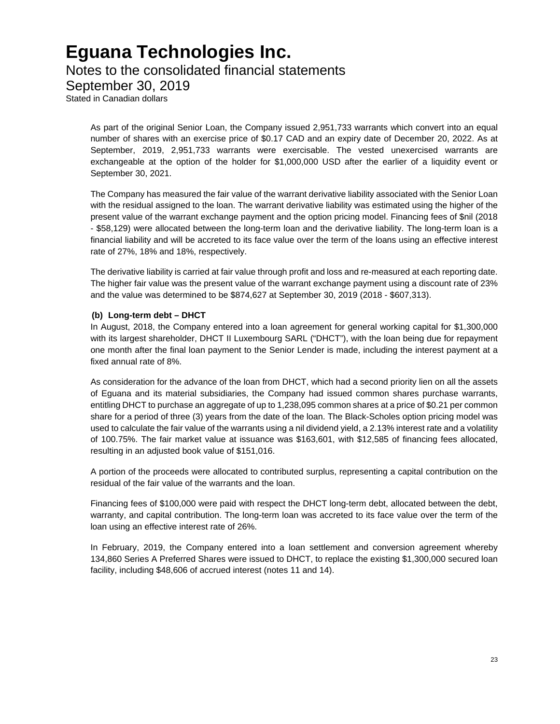## Notes to the consolidated financial statements

September 30, 2019

Stated in Canadian dollars

As part of the original Senior Loan, the Company issued 2,951,733 warrants which convert into an equal number of shares with an exercise price of \$0.17 CAD and an expiry date of December 20, 2022. As at September, 2019, 2,951,733 warrants were exercisable. The vested unexercised warrants are exchangeable at the option of the holder for \$1,000,000 USD after the earlier of a liquidity event or September 30, 2021.

The Company has measured the fair value of the warrant derivative liability associated with the Senior Loan with the residual assigned to the loan. The warrant derivative liability was estimated using the higher of the present value of the warrant exchange payment and the option pricing model. Financing fees of \$nil (2018 - \$58,129) were allocated between the long-term loan and the derivative liability. The long-term loan is a financial liability and will be accreted to its face value over the term of the loans using an effective interest rate of 27%, 18% and 18%, respectively.

The derivative liability is carried at fair value through profit and loss and re-measured at each reporting date. The higher fair value was the present value of the warrant exchange payment using a discount rate of 23% and the value was determined to be \$874,627 at September 30, 2019 (2018 - \$607,313).

### **(b) Long-term debt – DHCT**

In August, 2018, the Company entered into a loan agreement for general working capital for \$1,300,000 with its largest shareholder, DHCT II Luxembourg SARL ("DHCT"), with the loan being due for repayment one month after the final loan payment to the Senior Lender is made, including the interest payment at a fixed annual rate of 8%.

As consideration for the advance of the loan from DHCT, which had a second priority lien on all the assets of Eguana and its material subsidiaries, the Company had issued common shares purchase warrants, entitling DHCT to purchase an aggregate of up to 1,238,095 common shares at a price of \$0.21 per common share for a period of three (3) years from the date of the loan. The Black-Scholes option pricing model was used to calculate the fair value of the warrants using a nil dividend yield, a 2.13% interest rate and a volatility of 100.75%. The fair market value at issuance was \$163,601, with \$12,585 of financing fees allocated, resulting in an adjusted book value of \$151,016.

A portion of the proceeds were allocated to contributed surplus, representing a capital contribution on the residual of the fair value of the warrants and the loan.

Financing fees of \$100,000 were paid with respect the DHCT long-term debt, allocated between the debt, warranty, and capital contribution. The long-term loan was accreted to its face value over the term of the loan using an effective interest rate of 26%.

In February, 2019, the Company entered into a loan settlement and conversion agreement whereby 134,860 Series A Preferred Shares were issued to DHCT, to replace the existing \$1,300,000 secured loan facility, including \$48,606 of accrued interest (notes 11 and 14).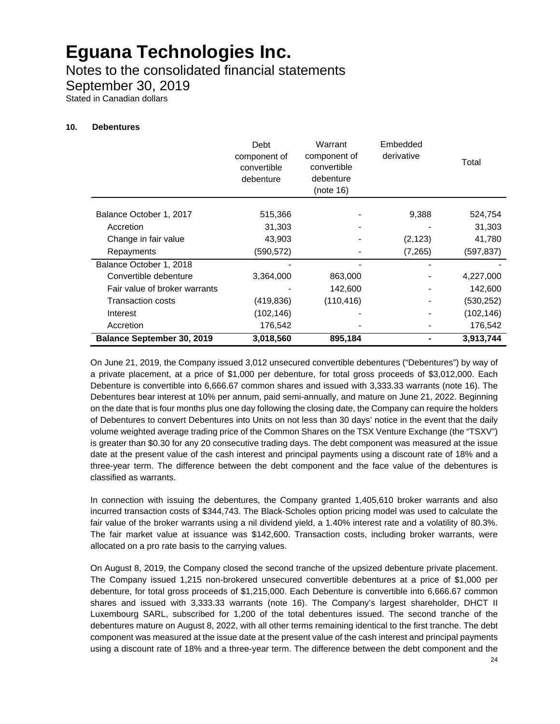Notes to the consolidated financial statements

September 30, 2019

Stated in Canadian dollars

### **10. Debentures**

|                                   | Debt<br>component of<br>convertible<br>debenture | Warrant<br>component of<br>convertible<br>debenture<br>(note 16) | Embedded<br>derivative | Total      |
|-----------------------------------|--------------------------------------------------|------------------------------------------------------------------|------------------------|------------|
| Balance October 1, 2017           | 515,366                                          |                                                                  | 9,388                  | 524,754    |
| Accretion                         | 31,303                                           |                                                                  |                        | 31,303     |
| Change in fair value              | 43,903                                           |                                                                  | (2, 123)               | 41,780     |
| Repayments                        | (590, 572)                                       |                                                                  | (7, 265)               | (597,837)  |
| Balance October 1, 2018           |                                                  |                                                                  |                        |            |
| Convertible debenture             | 3,364,000                                        | 863,000                                                          |                        | 4,227,000  |
| Fair value of broker warrants     |                                                  | 142,600                                                          |                        | 142,600    |
| <b>Transaction costs</b>          | (419, 836)                                       | (110, 416)                                                       |                        | (530, 252) |
| Interest                          | (102, 146)                                       |                                                                  |                        | (102, 146) |
| Accretion                         | 176,542                                          |                                                                  |                        | 176,542    |
| <b>Balance September 30, 2019</b> | 3,018,560                                        | 895,184                                                          |                        | 3.913.744  |

On June 21, 2019, the Company issued 3,012 unsecured convertible debentures ("Debentures") by way of a private placement, at a price of \$1,000 per debenture, for total gross proceeds of \$3,012,000. Each Debenture is convertible into 6,666.67 common shares and issued with 3,333.33 warrants (note 16). The Debentures bear interest at 10% per annum, paid semi-annually, and mature on June 21, 2022. Beginning on the date that is four months plus one day following the closing date, the Company can require the holders of Debentures to convert Debentures into Units on not less than 30 days' notice in the event that the daily volume weighted average trading price of the Common Shares on the TSX Venture Exchange (the "TSXV") is greater than \$0.30 for any 20 consecutive trading days. The debt component was measured at the issue date at the present value of the cash interest and principal payments using a discount rate of 18% and a three-year term. The difference between the debt component and the face value of the debentures is classified as warrants.

In connection with issuing the debentures, the Company granted 1,405,610 broker warrants and also incurred transaction costs of \$344,743. The Black-Scholes option pricing model was used to calculate the fair value of the broker warrants using a nil dividend yield, a 1.40% interest rate and a volatility of 80.3%. The fair market value at issuance was \$142,600. Transaction costs, including broker warrants, were allocated on a pro rate basis to the carrying values.

On August 8, 2019, the Company closed the second tranche of the upsized debenture private placement. The Company issued 1,215 non-brokered unsecured convertible debentures at a price of \$1,000 per debenture, for total gross proceeds of \$1,215,000. Each Debenture is convertible into 6,666.67 common shares and issued with 3,333.33 warrants (note 16). The Company's largest shareholder, DHCT II Luxembourg SARL, subscribed for 1,200 of the total debentures issued. The second tranche of the debentures mature on August 8, 2022, with all other terms remaining identical to the first tranche. The debt component was measured at the issue date at the present value of the cash interest and principal payments using a discount rate of 18% and a three-year term. The difference between the debt component and the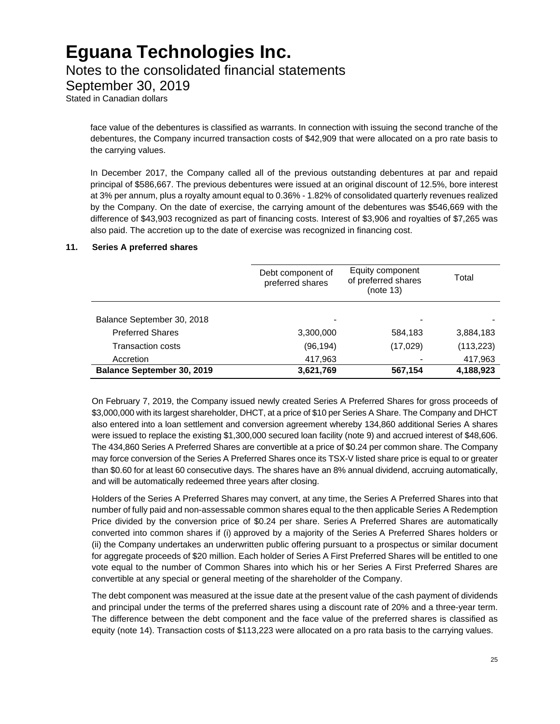## Notes to the consolidated financial statements

September 30, 2019

Stated in Canadian dollars

face value of the debentures is classified as warrants. In connection with issuing the second tranche of the debentures, the Company incurred transaction costs of \$42,909 that were allocated on a pro rate basis to the carrying values.

In December 2017, the Company called all of the previous outstanding debentures at par and repaid principal of \$586,667. The previous debentures were issued at an original discount of 12.5%, bore interest at 3% per annum, plus a royalty amount equal to 0.36% - 1.82% of consolidated quarterly revenues realized by the Company. On the date of exercise, the carrying amount of the debentures was \$546,669 with the difference of \$43,903 recognized as part of financing costs. Interest of \$3,906 and royalties of \$7,265 was also paid. The accretion up to the date of exercise was recognized in financing cost.

#### **11. Series A preferred shares**

|                                   | Debt component of<br>preferred shares | Equity component<br>of preferred shares<br>(note 13) | Total      |
|-----------------------------------|---------------------------------------|------------------------------------------------------|------------|
| Balance September 30, 2018        | $\overline{\phantom{a}}$              | $\,$                                                 |            |
| <b>Preferred Shares</b>           | 3,300,000                             | 584,183                                              | 3,884,183  |
| <b>Transaction costs</b>          | (96, 194)                             | (17, 029)                                            | (113, 223) |
| Accretion                         | 417,963                               |                                                      | 417,963    |
| <b>Balance September 30, 2019</b> | 3,621,769                             | 567,154                                              | 4,188,923  |

On February 7, 2019, the Company issued newly created Series A Preferred Shares for gross proceeds of \$3,000,000 with its largest shareholder, DHCT, at a price of \$10 per Series A Share. The Company and DHCT also entered into a loan settlement and conversion agreement whereby 134,860 additional Series A shares were issued to replace the existing \$1,300,000 secured loan facility (note 9) and accrued interest of \$48,606. The 434,860 Series A Preferred Shares are convertible at a price of \$0.24 per common share. The Company may force conversion of the Series A Preferred Shares once its TSX-V listed share price is equal to or greater than \$0.60 for at least 60 consecutive days. The shares have an 8% annual dividend, accruing automatically, and will be automatically redeemed three years after closing.

Holders of the Series A Preferred Shares may convert, at any time, the Series A Preferred Shares into that number of fully paid and non-assessable common shares equal to the then applicable Series A Redemption Price divided by the conversion price of \$0.24 per share. Series A Preferred Shares are automatically converted into common shares if (i) approved by a majority of the Series A Preferred Shares holders or (ii) the Company undertakes an underwritten public offering pursuant to a prospectus or similar document for aggregate proceeds of \$20 million. Each holder of Series A First Preferred Shares will be entitled to one vote equal to the number of Common Shares into which his or her Series A First Preferred Shares are convertible at any special or general meeting of the shareholder of the Company.

The debt component was measured at the issue date at the present value of the cash payment of dividends and principal under the terms of the preferred shares using a discount rate of 20% and a three-year term. The difference between the debt component and the face value of the preferred shares is classified as equity (note 14). Transaction costs of \$113,223 were allocated on a pro rata basis to the carrying values.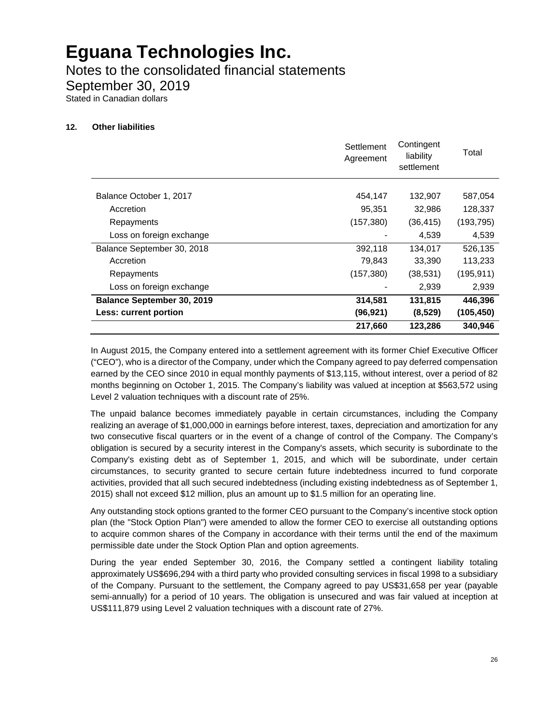Notes to the consolidated financial statements

September 30, 2019

Stated in Canadian dollars

### **12. Other liabilities**

|                                   | Settlement<br>Agreement | Contingent<br>liability<br>settlement | Total      |
|-----------------------------------|-------------------------|---------------------------------------|------------|
| Balance October 1, 2017           | 454,147                 | 132,907                               | 587,054    |
| Accretion                         | 95,351                  | 32,986                                | 128,337    |
| Repayments                        | (157, 380)              | (36, 415)                             | (193, 795) |
| Loss on foreign exchange          |                         | 4,539                                 | 4,539      |
| Balance September 30, 2018        | 392,118                 | 134,017                               | 526,135    |
| Accretion                         | 79,843                  | 33,390                                | 113,233    |
| Repayments                        | (157, 380)              | (38,531)                              | (195, 911) |
| Loss on foreign exchange          |                         | 2,939                                 | 2,939      |
| <b>Balance September 30, 2019</b> | 314,581                 | 131,815                               | 446,396    |
| Less: current portion             | (96, 921)               | (8,529)                               | (105, 450) |
|                                   | 217,660                 | 123,286                               | 340,946    |

In August 2015, the Company entered into a settlement agreement with its former Chief Executive Officer ("CEO"), who is a director of the Company, under which the Company agreed to pay deferred compensation earned by the CEO since 2010 in equal monthly payments of \$13,115, without interest, over a period of 82 months beginning on October 1, 2015. The Company's liability was valued at inception at \$563,572 using Level 2 valuation techniques with a discount rate of 25%.

The unpaid balance becomes immediately payable in certain circumstances, including the Company realizing an average of \$1,000,000 in earnings before interest, taxes, depreciation and amortization for any two consecutive fiscal quarters or in the event of a change of control of the Company. The Company's obligation is secured by a security interest in the Company's assets, which security is subordinate to the Company's existing debt as of September 1, 2015, and which will be subordinate, under certain circumstances, to security granted to secure certain future indebtedness incurred to fund corporate activities, provided that all such secured indebtedness (including existing indebtedness as of September 1, 2015) shall not exceed \$12 million, plus an amount up to \$1.5 million for an operating line.

Any outstanding stock options granted to the former CEO pursuant to the Company's incentive stock option plan (the "Stock Option Plan") were amended to allow the former CEO to exercise all outstanding options to acquire common shares of the Company in accordance with their terms until the end of the maximum permissible date under the Stock Option Plan and option agreements.

During the year ended September 30, 2016, the Company settled a contingent liability totaling approximately US\$696,294 with a third party who provided consulting services in fiscal 1998 to a subsidiary of the Company. Pursuant to the settlement, the Company agreed to pay US\$31,658 per year (payable semi-annually) for a period of 10 years. The obligation is unsecured and was fair valued at inception at US\$111,879 using Level 2 valuation techniques with a discount rate of 27%.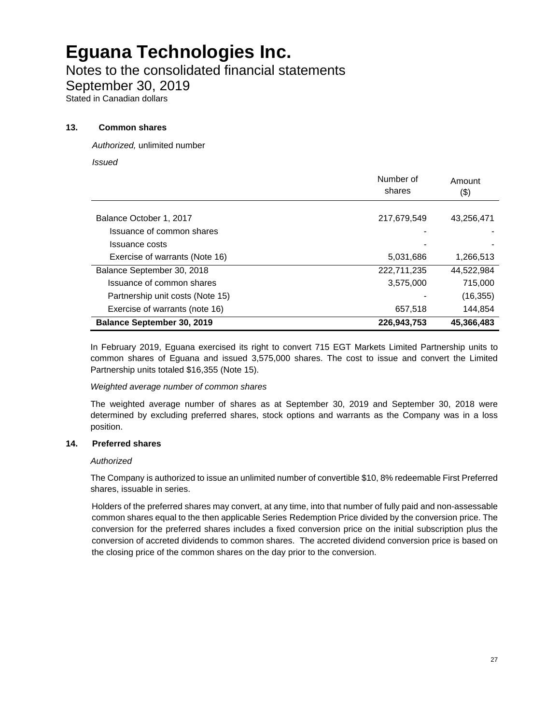Notes to the consolidated financial statements

September 30, 2019

Stated in Canadian dollars

#### **13. Common shares**

*Authorized,* unlimited number

*Issued*

|                                  | Number of<br>shares | Amount<br>(3) |
|----------------------------------|---------------------|---------------|
|                                  |                     |               |
| Balance October 1, 2017          | 217,679,549         | 43,256,471    |
| Issuance of common shares        |                     |               |
| Issuance costs                   |                     |               |
| Exercise of warrants (Note 16)   | 5,031,686           | 1,266,513     |
| Balance September 30, 2018       | 222,711,235         | 44.522.984    |
| Issuance of common shares        | 3,575,000           | 715,000       |
| Partnership unit costs (Note 15) |                     | (16, 355)     |
| Exercise of warrants (note 16)   | 657,518             | 144.854       |
| Balance September 30, 2019       | 226,943,753         | 45.366.483    |

In February 2019, Eguana exercised its right to convert 715 EGT Markets Limited Partnership units to common shares of Eguana and issued 3,575,000 shares. The cost to issue and convert the Limited Partnership units totaled \$16,355 (Note 15).

#### *Weighted average number of common shares*

The weighted average number of shares as at September 30, 2019 and September 30, 2018 were determined by excluding preferred shares, stock options and warrants as the Company was in a loss position.

#### **14. Preferred shares**

#### *Authorized*

The Company is authorized to issue an unlimited number of convertible \$10, 8% redeemable First Preferred shares, issuable in series.

Holders of the preferred shares may convert, at any time, into that number of fully paid and non-assessable common shares equal to the then applicable Series Redemption Price divided by the conversion price. The conversion for the preferred shares includes a fixed conversion price on the initial subscription plus the conversion of accreted dividends to common shares. The accreted dividend conversion price is based on the closing price of the common shares on the day prior to the conversion.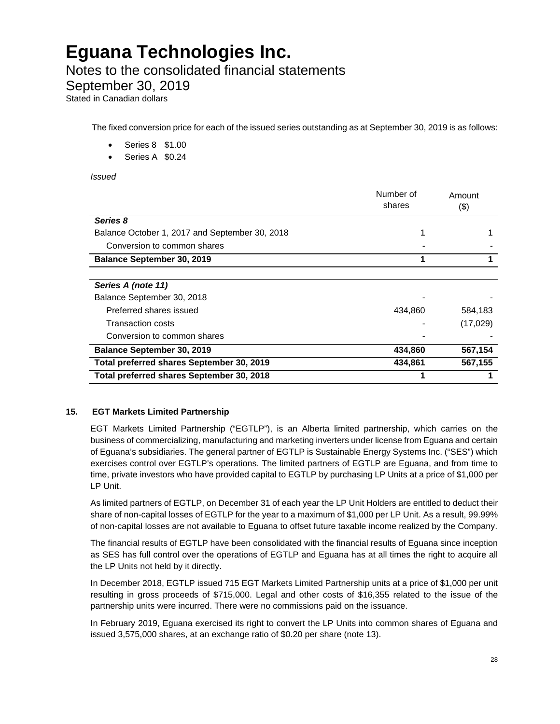## Notes to the consolidated financial statements

## September 30, 2019

Stated in Canadian dollars

The fixed conversion price for each of the issued series outstanding as at September 30, 2019 is as follows:

- Series 8 \$1.00
- Series A \$0.24

*Issued* 

|                                                | Number of<br>shares | Amount<br>(3) |
|------------------------------------------------|---------------------|---------------|
| Series 8                                       |                     |               |
| Balance October 1, 2017 and September 30, 2018 |                     |               |
| Conversion to common shares                    |                     |               |
| <b>Balance September 30, 2019</b>              |                     |               |
|                                                |                     |               |
| Series A (note 11)                             |                     |               |
| Balance September 30, 2018                     |                     |               |
| Preferred shares issued                        | 434,860             | 584,183       |
| <b>Transaction costs</b>                       |                     | (17,029)      |
| Conversion to common shares                    |                     |               |
| Balance September 30, 2019                     | 434,860             | 567,154       |
| Total preferred shares September 30, 2019      | 434,861             | 567,155       |
| Total preferred shares September 30, 2018      |                     |               |

### **15. EGT Markets Limited Partnership**

EGT Markets Limited Partnership ("EGTLP"), is an Alberta limited partnership, which carries on the business of commercializing, manufacturing and marketing inverters under license from Eguana and certain of Eguana's subsidiaries. The general partner of EGTLP is Sustainable Energy Systems Inc. ("SES") which exercises control over EGTLP's operations. The limited partners of EGTLP are Eguana, and from time to time, private investors who have provided capital to EGTLP by purchasing LP Units at a price of \$1,000 per LP Unit.

As limited partners of EGTLP, on December 31 of each year the LP Unit Holders are entitled to deduct their share of non-capital losses of EGTLP for the year to a maximum of \$1,000 per LP Unit. As a result, 99.99% of non-capital losses are not available to Eguana to offset future taxable income realized by the Company.

The financial results of EGTLP have been consolidated with the financial results of Eguana since inception as SES has full control over the operations of EGTLP and Eguana has at all times the right to acquire all the LP Units not held by it directly.

In December 2018, EGTLP issued 715 EGT Markets Limited Partnership units at a price of \$1,000 per unit resulting in gross proceeds of \$715,000. Legal and other costs of \$16,355 related to the issue of the partnership units were incurred. There were no commissions paid on the issuance.

In February 2019, Eguana exercised its right to convert the LP Units into common shares of Eguana and issued 3,575,000 shares, at an exchange ratio of \$0.20 per share (note 13).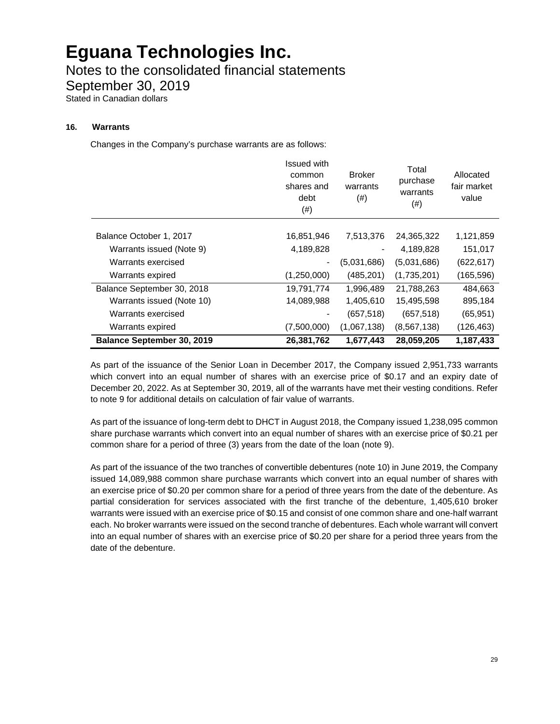Notes to the consolidated financial statements

September 30, 2019

Stated in Canadian dollars

#### **16. Warrants**

Changes in the Company's purchase warrants are as follows:

|                                   | <b>Issued with</b><br>common<br>shares and<br>debt<br>(#) | <b>Broker</b><br>warrants<br>(# ) | Total<br>purchase<br>warrants<br>(#) | Allocated<br>fair market<br>value |
|-----------------------------------|-----------------------------------------------------------|-----------------------------------|--------------------------------------|-----------------------------------|
|                                   |                                                           |                                   |                                      |                                   |
| Balance October 1, 2017           | 16,851,946                                                | 7,513,376                         | 24,365,322                           | 1,121,859                         |
| Warrants issued (Note 9)          | 4,189,828                                                 |                                   | 4,189,828                            | 151,017                           |
| Warrants exercised                | $\overline{\phantom{0}}$                                  | (5,031,686)                       | (5,031,686)                          | (622, 617)                        |
| Warrants expired                  | (1,250,000)                                               | (485, 201)                        | (1,735,201)                          | (165, 596)                        |
| Balance September 30, 2018        | 19,791,774                                                | 1,996,489                         | 21,788,263                           | 484,663                           |
| Warrants issued (Note 10)         | 14,089,988                                                | 1,405,610                         | 15,495,598                           | 895,184                           |
| Warrants exercised                | -                                                         | (657, 518)                        | (657, 518)                           | (65, 951)                         |
| Warrants expired                  | (7,500,000)                                               | (1,067,138)                       | (8, 567, 138)                        | (126, 463)                        |
| <b>Balance September 30, 2019</b> | 26,381,762                                                | 1,677,443                         | 28,059,205                           | 1,187,433                         |

As part of the issuance of the Senior Loan in December 2017, the Company issued 2,951,733 warrants which convert into an equal number of shares with an exercise price of \$0.17 and an expiry date of December 20, 2022. As at September 30, 2019, all of the warrants have met their vesting conditions. Refer to note 9 for additional details on calculation of fair value of warrants.

As part of the issuance of long-term debt to DHCT in August 2018, the Company issued 1,238,095 common share purchase warrants which convert into an equal number of shares with an exercise price of \$0.21 per common share for a period of three (3) years from the date of the loan (note 9).

As part of the issuance of the two tranches of convertible debentures (note 10) in June 2019, the Company issued 14,089,988 common share purchase warrants which convert into an equal number of shares with an exercise price of \$0.20 per common share for a period of three years from the date of the debenture. As partial consideration for services associated with the first tranche of the debenture, 1,405,610 broker warrants were issued with an exercise price of \$0.15 and consist of one common share and one-half warrant each. No broker warrants were issued on the second tranche of debentures. Each whole warrant will convert into an equal number of shares with an exercise price of \$0.20 per share for a period three years from the date of the debenture.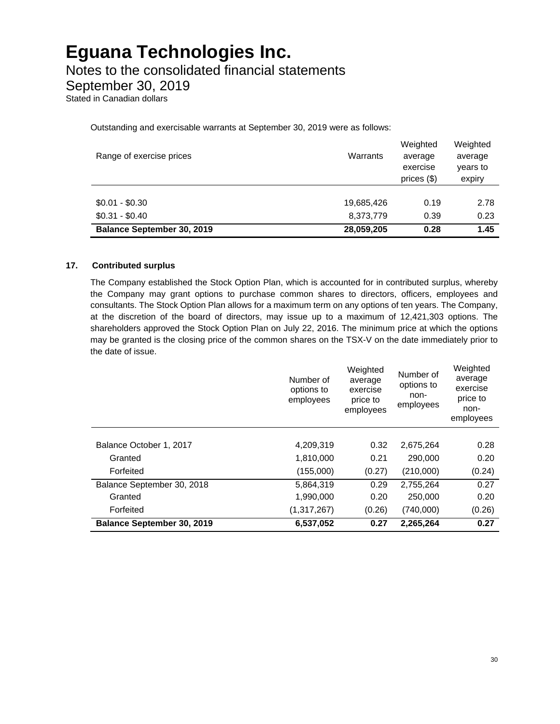Notes to the consolidated financial statements

September 30, 2019

Stated in Canadian dollars

Outstanding and exercisable warrants at September 30, 2019 were as follows:

| Range of exercise prices           | Warrants                | Weighted<br>average<br>exercise<br>prices $(\$)$ | Weighted<br>average<br>years to<br>expiry |
|------------------------------------|-------------------------|--------------------------------------------------|-------------------------------------------|
| $$0.01 - $0.30$<br>$$0.31 - $0.40$ | 19,685,426<br>8,373,779 | 0.19<br>0.39                                     | 2.78<br>0.23                              |
| <b>Balance September 30, 2019</b>  | 28,059,205              | 0.28                                             | 1.45                                      |

#### **17. Contributed surplus**

The Company established the Stock Option Plan, which is accounted for in contributed surplus, whereby the Company may grant options to purchase common shares to directors, officers, employees and consultants. The Stock Option Plan allows for a maximum term on any options of ten years. The Company, at the discretion of the board of directors, may issue up to a maximum of 12,421,303 options. The shareholders approved the Stock Option Plan on July 22, 2016. The minimum price at which the options may be granted is the closing price of the common shares on the TSX-V on the date immediately prior to the date of issue.

|                            | Number of<br>options to<br>employees | Weighted<br>average<br>exercise<br>price to<br>employees | Number of<br>options to<br>non-<br>employees | Weighted<br>average<br>exercise<br>price to<br>non-<br>employees |
|----------------------------|--------------------------------------|----------------------------------------------------------|----------------------------------------------|------------------------------------------------------------------|
|                            |                                      |                                                          |                                              |                                                                  |
| Balance October 1, 2017    | 4,209,319                            | 0.32                                                     | 2,675,264                                    | 0.28                                                             |
| Granted                    | 1,810,000                            | 0.21                                                     | 290,000                                      | 0.20                                                             |
| Forfeited                  | (155,000)                            | (0.27)                                                   | (210,000)                                    | (0.24)                                                           |
| Balance September 30, 2018 | 5,864,319                            | 0.29                                                     | 2,755,264                                    | 0.27                                                             |
| Granted                    | 1,990,000                            | 0.20                                                     | 250,000                                      | 0.20                                                             |
| Forfeited                  | (1,317,267)                          | (0.26)                                                   | (740,000)                                    | (0.26)                                                           |
| Balance September 30, 2019 | 6,537,052                            | 0.27                                                     | 2,265,264                                    | 0.27                                                             |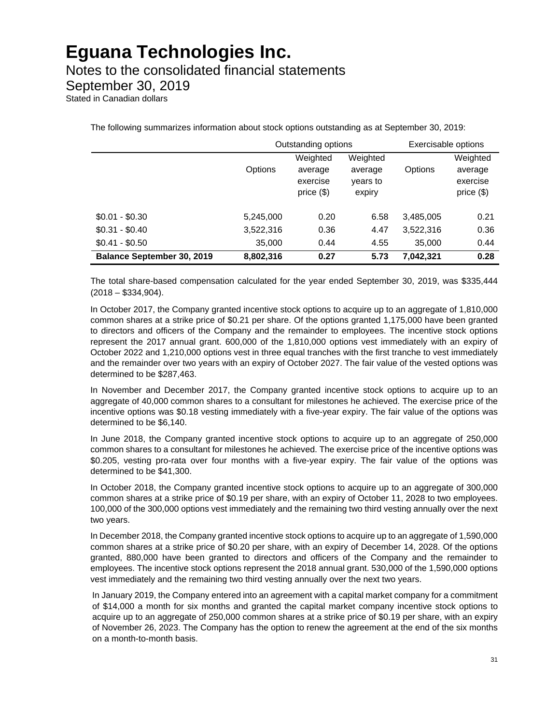## Notes to the consolidated financial statements

September 30, 2019

Stated in Canadian dollars

The following summarizes information about stock options outstanding as at September 30, 2019:

|                            | Outstanding options |                                                 | Exercisable options                       |           |                                                    |
|----------------------------|---------------------|-------------------------------------------------|-------------------------------------------|-----------|----------------------------------------------------|
|                            | Options             | Weighted<br>average<br>exercise<br>price $(\$)$ | Weighted<br>average<br>years to<br>expiry | Options   | Weighted<br>average<br>exercise<br>price $($ math) |
| $$0.01 - $0.30$            | 5,245,000           | 0.20                                            | 6.58                                      | 3,485,005 | 0.21                                               |
| $$0.31 - $0.40$            | 3,522,316           | 0.36                                            | 4.47                                      | 3,522,316 | 0.36                                               |
| $$0.41 - $0.50$            | 35,000              | 0.44                                            | 4.55                                      | 35,000    | 0.44                                               |
| Balance September 30, 2019 | 8,802,316           | 0.27                                            | 5.73                                      | 7,042,321 | 0.28                                               |

The total share-based compensation calculated for the year ended September 30, 2019, was \$335,444  $(2018 - $334,904)$ .

In October 2017, the Company granted incentive stock options to acquire up to an aggregate of 1,810,000 common shares at a strike price of \$0.21 per share. Of the options granted 1,175,000 have been granted to directors and officers of the Company and the remainder to employees. The incentive stock options represent the 2017 annual grant. 600,000 of the 1,810,000 options vest immediately with an expiry of October 2022 and 1,210,000 options vest in three equal tranches with the first tranche to vest immediately and the remainder over two years with an expiry of October 2027. The fair value of the vested options was determined to be \$287,463.

In November and December 2017, the Company granted incentive stock options to acquire up to an aggregate of 40,000 common shares to a consultant for milestones he achieved. The exercise price of the incentive options was \$0.18 vesting immediately with a five-year expiry. The fair value of the options was determined to be \$6,140.

In June 2018, the Company granted incentive stock options to acquire up to an aggregate of 250,000 common shares to a consultant for milestones he achieved. The exercise price of the incentive options was \$0.205, vesting pro-rata over four months with a five-year expiry. The fair value of the options was determined to be \$41,300.

In October 2018, the Company granted incentive stock options to acquire up to an aggregate of 300,000 common shares at a strike price of \$0.19 per share, with an expiry of October 11, 2028 to two employees. 100,000 of the 300,000 options vest immediately and the remaining two third vesting annually over the next two years.

In December 2018, the Company granted incentive stock options to acquire up to an aggregate of 1,590,000 common shares at a strike price of \$0.20 per share, with an expiry of December 14, 2028. Of the options granted, 880,000 have been granted to directors and officers of the Company and the remainder to employees. The incentive stock options represent the 2018 annual grant. 530,000 of the 1,590,000 options vest immediately and the remaining two third vesting annually over the next two years.

In January 2019, the Company entered into an agreement with a capital market company for a commitment of \$14,000 a month for six months and granted the capital market company incentive stock options to acquire up to an aggregate of 250,000 common shares at a strike price of \$0.19 per share, with an expiry of November 26, 2023. The Company has the option to renew the agreement at the end of the six months on a month-to-month basis.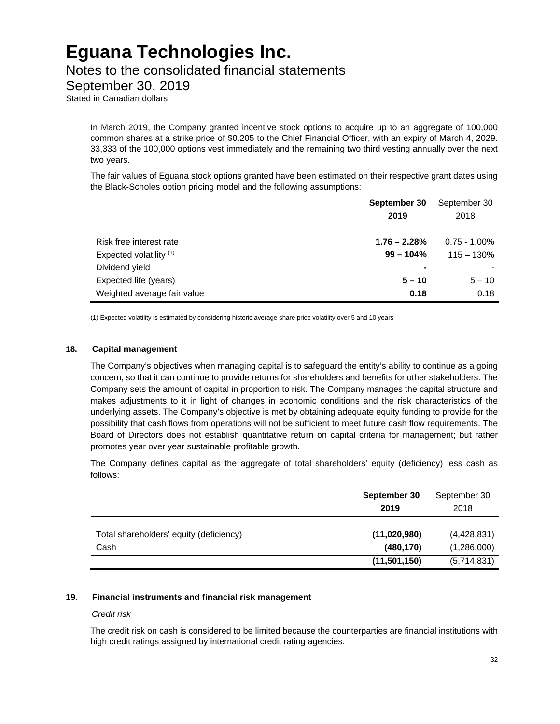## Notes to the consolidated financial statements

September 30, 2019

Stated in Canadian dollars

In March 2019, the Company granted incentive stock options to acquire up to an aggregate of 100,000 common shares at a strike price of \$0.205 to the Chief Financial Officer, with an expiry of March 4, 2029. 33,333 of the 100,000 options vest immediately and the remaining two third vesting annually over the next two years.

The fair values of Eguana stock options granted have been estimated on their respective grant dates using the Black-Scholes option pricing model and the following assumptions:

|                             | September 30<br>2019 | September 30<br>2018 |
|-----------------------------|----------------------|----------------------|
| Risk free interest rate     | $1.76 - 2.28%$       | $0.75 - 1.00\%$      |
| Expected volatility (1)     | $99 - 104%$          | $115 - 130%$         |
| Dividend yield              | ۰                    |                      |
| Expected life (years)       | $5 - 10$             | $5 - 10$             |
| Weighted average fair value | 0.18                 | 0.18                 |

(1) Expected volatility is estimated by considering historic average share price volatility over 5 and 10 years

#### **18. Capital management**

The Company's objectives when managing capital is to safeguard the entity's ability to continue as a going concern, so that it can continue to provide returns for shareholders and benefits for other stakeholders. The Company sets the amount of capital in proportion to risk. The Company manages the capital structure and makes adjustments to it in light of changes in economic conditions and the risk characteristics of the underlying assets. The Company's objective is met by obtaining adequate equity funding to provide for the possibility that cash flows from operations will not be sufficient to meet future cash flow requirements. The Board of Directors does not establish quantitative return on capital criteria for management; but rather promotes year over year sustainable profitable growth.

The Company defines capital as the aggregate of total shareholders' equity (deficiency) less cash as follows:

|                                                 | September 30<br>2019       | September 30<br>2018       |
|-------------------------------------------------|----------------------------|----------------------------|
| Total shareholders' equity (deficiency)<br>Cash | (11,020,980)<br>(480, 170) | (4,428,831)<br>(1,286,000) |
|                                                 | (11,501,150)               | (5,714,831)                |

#### **19. Financial instruments and financial risk management**

#### *Credit risk*

The credit risk on cash is considered to be limited because the counterparties are financial institutions with high credit ratings assigned by international credit rating agencies.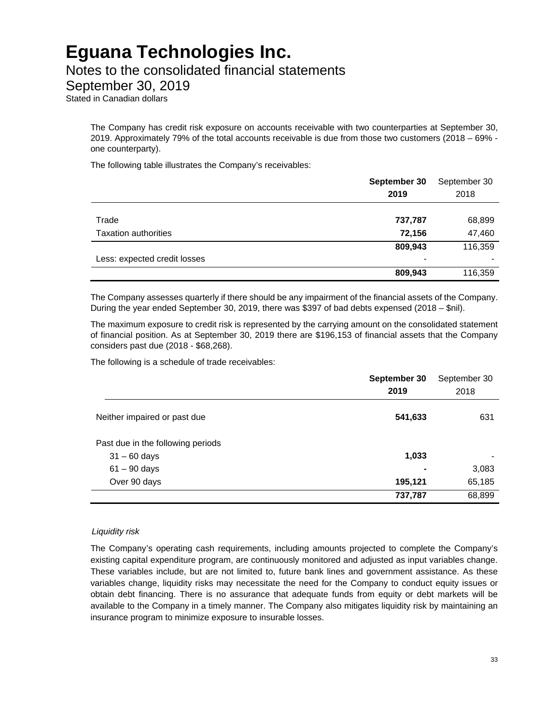# Notes to the consolidated financial statements

September 30, 2019

Stated in Canadian dollars

The Company has credit risk exposure on accounts receivable with two counterparties at September 30, 2019. Approximately 79% of the total accounts receivable is due from those two customers (2018 – 69% one counterparty).

The following table illustrates the Company's receivables:

|                              | September 30             | September 30 |
|------------------------------|--------------------------|--------------|
|                              | 2019                     | 2018         |
|                              |                          |              |
| Trade                        | 737,787                  | 68,899       |
| <b>Taxation authorities</b>  | 72,156                   | 47,460       |
|                              | 809,943                  | 116,359      |
| Less: expected credit losses | $\overline{\phantom{0}}$ |              |
|                              | 809,943                  | 116,359      |

The Company assesses quarterly if there should be any impairment of the financial assets of the Company. During the year ended September 30, 2019, there was \$397 of bad debts expensed (2018 – \$nil).

The maximum exposure to credit risk is represented by the carrying amount on the consolidated statement of financial position. As at September 30, 2019 there are \$196,153 of financial assets that the Company considers past due (2018 - \$68,268).

The following is a schedule of trade receivables:

|                                   | September 30 |        |
|-----------------------------------|--------------|--------|
|                                   | 2019         | 2018   |
| Neither impaired or past due      | 541,633      | 631    |
| Past due in the following periods |              |        |
| $31 - 60$ days                    | 1,033        |        |
| $61 - 90$ days                    |              | 3,083  |
| Over 90 days                      | 195,121      | 65,185 |
|                                   | 737,787      | 68,899 |

#### *Liquidity risk*

The Company's operating cash requirements, including amounts projected to complete the Company's existing capital expenditure program, are continuously monitored and adjusted as input variables change. These variables include, but are not limited to, future bank lines and government assistance. As these variables change, liquidity risks may necessitate the need for the Company to conduct equity issues or obtain debt financing. There is no assurance that adequate funds from equity or debt markets will be available to the Company in a timely manner. The Company also mitigates liquidity risk by maintaining an insurance program to minimize exposure to insurable losses.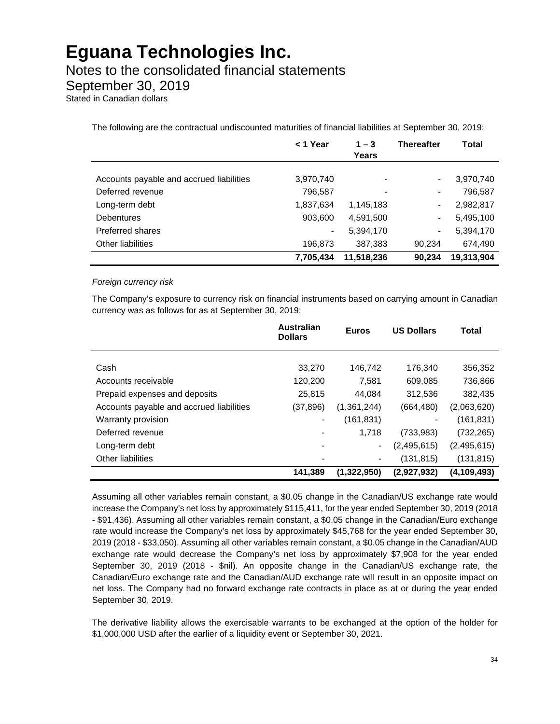## Notes to the consolidated financial statements

September 30, 2019

Stated in Canadian dollars

The following are the contractual undiscounted maturities of financial liabilities at September 30, 2019:

|                                          | < 1 Year                     | $1 - 3$<br>Years | <b>Thereafter</b>        | Total      |
|------------------------------------------|------------------------------|------------------|--------------------------|------------|
|                                          |                              |                  |                          |            |
| Accounts payable and accrued liabilities | 3,970,740                    |                  | $\overline{\phantom{a}}$ | 3,970,740  |
| Deferred revenue                         | 796,587                      |                  | $\overline{\phantom{a}}$ | 796,587    |
| Long-term debt                           | 1,837,634                    | 1,145,183        | $\blacksquare$           | 2,982,817  |
| <b>Debentures</b>                        | 903,600                      | 4,591,500        | $\blacksquare$           | 5,495,100  |
| Preferred shares                         | $\qquad \qquad \blacksquare$ | 5,394,170        | $\overline{\phantom{a}}$ | 5,394,170  |
| Other liabilities                        | 196,873                      | 387,383          | 90.234                   | 674,490    |
|                                          | 7,705,434                    | 11,518,236       | 90,234                   | 19,313,904 |

#### *Foreign currency risk*

The Company's exposure to currency risk on financial instruments based on carrying amount in Canadian currency was as follows for as at September 30, 2019:

|                                          | <b>Australian</b><br><b>Dollars</b> | <b>Euros</b>   | <b>US Dollars</b> | Total         |
|------------------------------------------|-------------------------------------|----------------|-------------------|---------------|
|                                          |                                     |                |                   |               |
| Cash                                     | 33,270                              | 146,742        | 176,340           | 356,352       |
| Accounts receivable                      | 120,200                             | 7.581          | 609,085           | 736,866       |
| Prepaid expenses and deposits            | 25,815                              | 44,084         | 312,536           | 382,435       |
| Accounts payable and accrued liabilities | (37,896)                            | (1,361,244)    | (664, 480)        | (2,063,620)   |
| Warranty provision                       | $\blacksquare$                      | (161, 831)     |                   | (161, 831)    |
| Deferred revenue                         | $\blacksquare$                      | 1.718          | (733,983)         | (732, 265)    |
| Long-term debt                           | $\overline{\phantom{a}}$            | $\blacksquare$ | (2,495,615)       | (2,495,615)   |
| <b>Other liabilities</b>                 | $\blacksquare$                      |                | (131, 815)        | (131, 815)    |
|                                          | 141,389                             | (1.322.950)    | (2,927,932)       | (4, 109, 493) |

Assuming all other variables remain constant, a \$0.05 change in the Canadian/US exchange rate would increase the Company's net loss by approximately \$115,411, for the year ended September 30, 2019 (2018 - \$91,436). Assuming all other variables remain constant, a \$0.05 change in the Canadian/Euro exchange rate would increase the Company's net loss by approximately \$45,768 for the year ended September 30, 2019 (2018 - \$33,050). Assuming all other variables remain constant, a \$0.05 change in the Canadian/AUD exchange rate would decrease the Company's net loss by approximately \$7,908 for the year ended September 30, 2019 (2018 - \$nil). An opposite change in the Canadian/US exchange rate, the Canadian/Euro exchange rate and the Canadian/AUD exchange rate will result in an opposite impact on net loss. The Company had no forward exchange rate contracts in place as at or during the year ended September 30, 2019.

The derivative liability allows the exercisable warrants to be exchanged at the option of the holder for \$1,000,000 USD after the earlier of a liquidity event or September 30, 2021.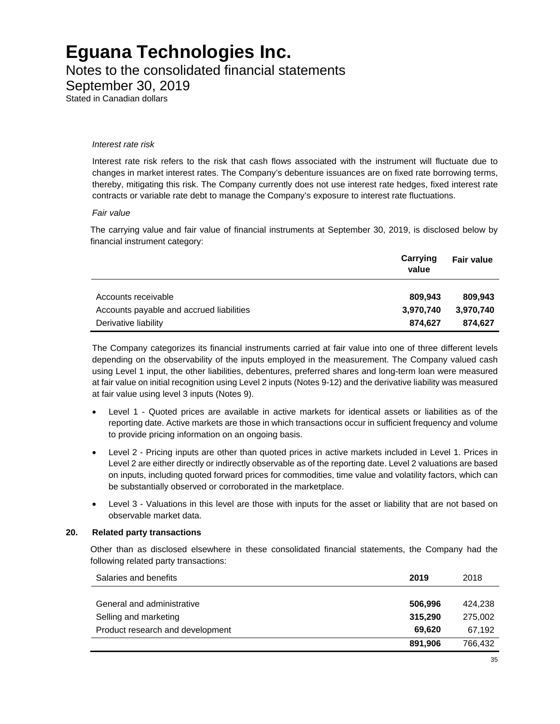Notes to the consolidated financial statements

September 30, 2019

Stated in Canadian dollars

#### *Interest rate risk*

Interest rate risk refers to the risk that cash flows associated with the instrument will fluctuate due to changes in market interest rates. The Company's debenture issuances are on fixed rate borrowing terms, thereby, mitigating this risk. The Company currently does not use interest rate hedges, fixed interest rate contracts or variable rate debt to manage the Company's exposure to interest rate fluctuations.

#### *Fair value*

The carrying value and fair value of financial instruments at September 30, 2019, is disclosed below by financial instrument category:

|                                          | Carrying<br>value | <b>Fair value</b> |
|------------------------------------------|-------------------|-------------------|
| Accounts receivable                      | 809.943           | 809.943           |
|                                          |                   |                   |
| Accounts payable and accrued liabilities | 3,970,740         | 3,970,740         |
| Derivative liability                     | 874.627           | 874.627           |

The Company categorizes its financial instruments carried at fair value into one of three different levels depending on the observability of the inputs employed in the measurement. The Company valued cash using Level 1 input, the other liabilities, debentures, preferred shares and long-term loan were measured at fair value on initial recognition using Level 2 inputs (Notes 9-12) and the derivative liability was measured at fair value using level 3 inputs (Notes 9).

- Level 1 Quoted prices are available in active markets for identical assets or liabilities as of the reporting date. Active markets are those in which transactions occur in sufficient frequency and volume to provide pricing information on an ongoing basis.
- Level 2 Pricing inputs are other than quoted prices in active markets included in Level 1. Prices in Level 2 are either directly or indirectly observable as of the reporting date. Level 2 valuations are based on inputs, including quoted forward prices for commodities, time value and volatility factors, which can be substantially observed or corroborated in the marketplace.
- Level 3 Valuations in this level are those with inputs for the asset or liability that are not based on observable market data.

#### **20. Related party transactions**

Other than as disclosed elsewhere in these consolidated financial statements, the Company had the following related party transactions:

| Salaries and benefits            | 2019    | 2018    |
|----------------------------------|---------|---------|
|                                  |         |         |
| General and administrative       | 506,996 | 424.238 |
| Selling and marketing            | 315,290 | 275,002 |
| Product research and development | 69.620  | 67.192  |
|                                  | 891,906 | 766.432 |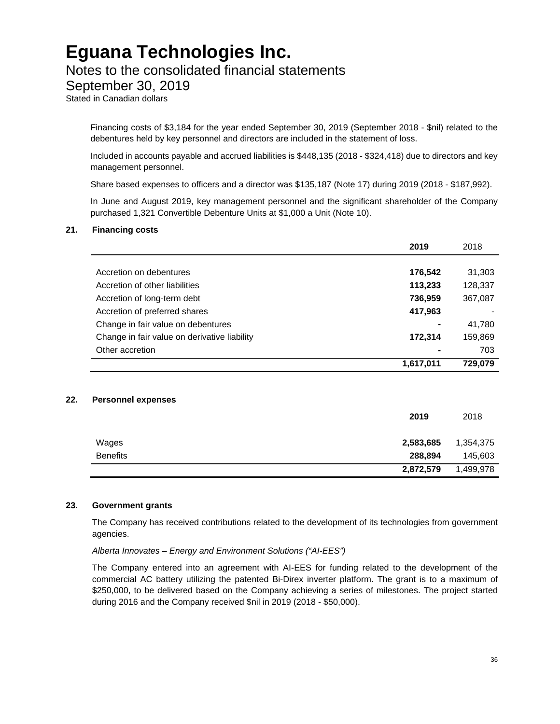## Notes to the consolidated financial statements

September 30, 2019

Stated in Canadian dollars

Financing costs of \$3,184 for the year ended September 30, 2019 (September 2018 - \$nil) related to the debentures held by key personnel and directors are included in the statement of loss.

Included in accounts payable and accrued liabilities is \$448,135 (2018 - \$324,418) due to directors and key management personnel.

Share based expenses to officers and a director was \$135,187 (Note 17) during 2019 (2018 - \$187,992).

In June and August 2019, key management personnel and the significant shareholder of the Company purchased 1,321 Convertible Debenture Units at \$1,000 a Unit (Note 10).

#### **21. Financing costs**

|                                              | 2019      | 2018    |
|----------------------------------------------|-----------|---------|
|                                              |           |         |
| Accretion on debentures                      | 176,542   | 31,303  |
| Accretion of other liabilities               | 113,233   | 128,337 |
| Accretion of long-term debt                  | 736,959   | 367,087 |
| Accretion of preferred shares                | 417,963   |         |
| Change in fair value on debentures           |           | 41,780  |
| Change in fair value on derivative liability | 172,314   | 159,869 |
| Other accretion                              |           | 703     |
|                                              | 1,617,011 | 729.079 |

#### **22. Personnel expenses**

|                 | 2019      | 2018      |
|-----------------|-----------|-----------|
| Wages           | 2,583,685 | 1,354,375 |
| <b>Benefits</b> | 288,894   | 145,603   |
|                 | 2,872,579 | 1,499,978 |

#### **23. Government grants**

The Company has received contributions related to the development of its technologies from government agencies.

#### *Alberta Innovates – Energy and Environment Solutions ("AI-EES")*

The Company entered into an agreement with AI-EES for funding related to the development of the commercial AC battery utilizing the patented Bi-Direx inverter platform. The grant is to a maximum of \$250,000, to be delivered based on the Company achieving a series of milestones. The project started during 2016 and the Company received \$nil in 2019 (2018 - \$50,000).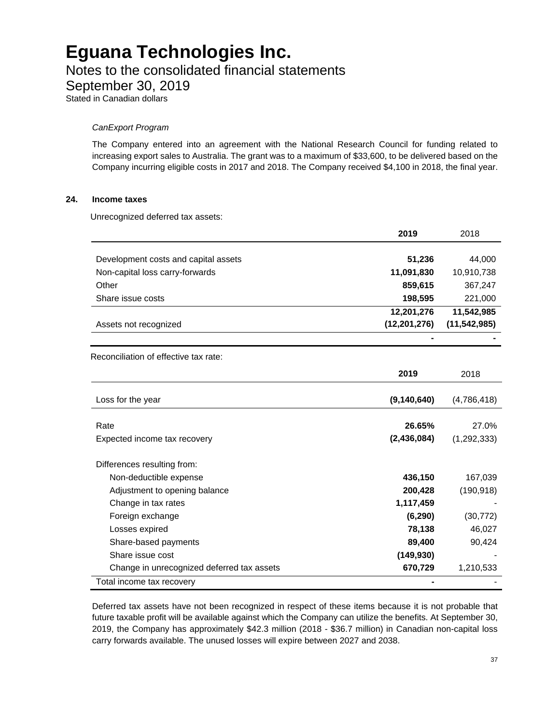Notes to the consolidated financial statements

September 30, 2019

Stated in Canadian dollars

#### *CanExport Program*

The Company entered into an agreement with the National Research Council for funding related to increasing export sales to Australia. The grant was to a maximum of \$33,600, to be delivered based on the Company incurring eligible costs in 2017 and 2018. The Company received \$4,100 in 2018, the final year.

#### **24. Income taxes**

Unrecognized deferred tax assets:

|                                            | 2019           | 2018           |
|--------------------------------------------|----------------|----------------|
|                                            |                |                |
| Development costs and capital assets       | 51,236         | 44,000         |
| Non-capital loss carry-forwards            | 11,091,830     | 10,910,738     |
| Other                                      | 859,615        | 367,247        |
| Share issue costs                          | 198,595        | 221,000        |
|                                            | 12,201,276     | 11,542,985     |
| Assets not recognized                      | (12, 201, 276) | (11, 542, 985) |
|                                            |                |                |
| Reconciliation of effective tax rate:      |                |                |
|                                            | 2019           | 2018           |
| Loss for the year                          | (9, 140, 640)  | (4,786,418)    |
| Rate                                       | 26.65%         | 27.0%          |
| Expected income tax recovery               | (2,436,084)    | (1, 292, 333)  |
| Differences resulting from:                |                |                |
| Non-deductible expense                     | 436,150        | 167,039        |
| Adjustment to opening balance              | 200,428        | (190, 918)     |
| Change in tax rates                        | 1,117,459      |                |
| Foreign exchange                           | (6, 290)       | (30, 772)      |
| Losses expired                             | 78,138         | 46,027         |
| Share-based payments                       | 89,400         | 90,424         |
| Share issue cost                           | (149, 930)     |                |
| Change in unrecognized deferred tax assets | 670,729        | 1,210,533      |

Deferred tax assets have not been recognized in respect of these items because it is not probable that future taxable profit will be available against which the Company can utilize the benefits. At September 30, 2019, the Company has approximately \$42.3 million (2018 - \$36.7 million) in Canadian non-capital loss carry forwards available. The unused losses will expire between 2027 and 2038.

Total income tax recovery **-** -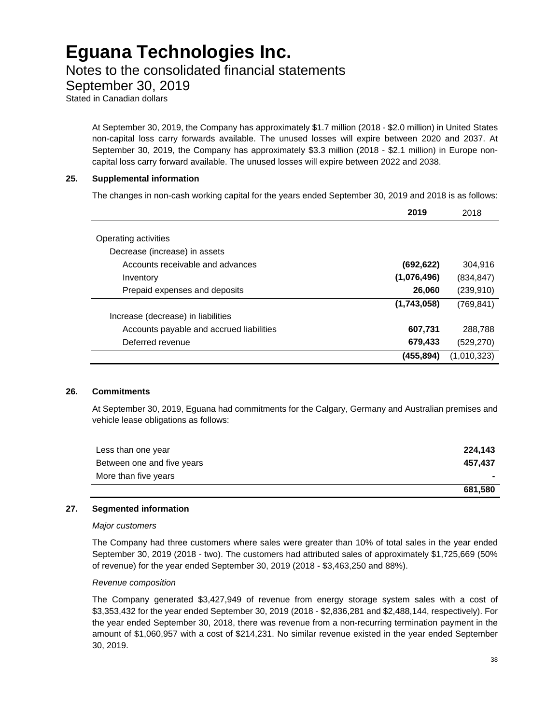## Notes to the consolidated financial statements

September 30, 2019

Stated in Canadian dollars

At September 30, 2019, the Company has approximately \$1.7 million (2018 - \$2.0 million) in United States non-capital loss carry forwards available. The unused losses will expire between 2020 and 2037. At September 30, 2019, the Company has approximately \$3.3 million (2018 - \$2.1 million) in Europe noncapital loss carry forward available. The unused losses will expire between 2022 and 2038.

### **25. Supplemental information**

The changes in non-cash working capital for the years ended September 30, 2019 and 2018 is as follows:

| 2019                                                | 2018        |
|-----------------------------------------------------|-------------|
|                                                     |             |
| Operating activities                                |             |
| Decrease (increase) in assets                       |             |
| Accounts receivable and advances<br>(692, 622)      | 304,916     |
| (1,076,496)<br>Inventory                            | (834, 847)  |
| Prepaid expenses and deposits<br>26,060             | (239, 910)  |
| (1,743,058)                                         | (769, 841)  |
| Increase (decrease) in liabilities                  |             |
| Accounts payable and accrued liabilities<br>607,731 | 288,788     |
| 679,433<br>Deferred revenue                         | (529, 270)  |
| (455,894)                                           | (1,010,323) |

#### **26. Commitments**

At September 30, 2019, Eguana had commitments for the Calgary, Germany and Australian premises and vehicle lease obligations as follows:

| Less than one year         | 224.143 |
|----------------------------|---------|
| Between one and five years | 457.437 |
| More than five years       |         |
|                            | 681,580 |

### **27. Segmented information**

#### *Major customers*

The Company had three customers where sales were greater than 10% of total sales in the year ended September 30, 2019 (2018 - two). The customers had attributed sales of approximately \$1,725,669 (50% of revenue) for the year ended September 30, 2019 (2018 - \$3,463,250 and 88%).

#### *Revenue composition*

The Company generated \$3,427,949 of revenue from energy storage system sales with a cost of \$3,353,432 for the year ended September 30, 2019 (2018 - \$2,836,281 and \$2,488,144, respectively). For the year ended September 30, 2018, there was revenue from a non-recurring termination payment in the amount of \$1,060,957 with a cost of \$214,231. No similar revenue existed in the year ended September 30, 2019.